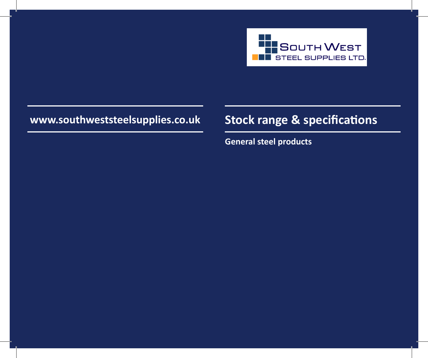

# **www.southweststeelsupplies.co.uk Stock range & specifications**

**General steel products**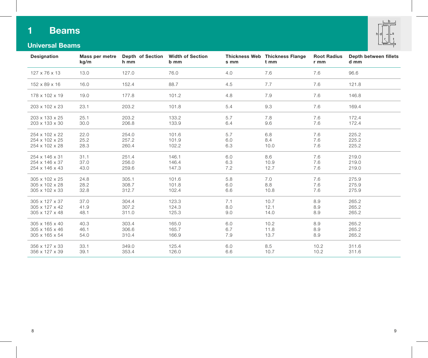## **1 Beams**



## **Universal Beams**

| Designation    | kg/m | Mass per metre Depth of Section Width of Section<br>h mm | b mm  | s mm | Thickness Web Thickness Flange<br>t mm | <b>Root Radius</b><br>r mm | Depth between fillets<br>d mm |
|----------------|------|----------------------------------------------------------|-------|------|----------------------------------------|----------------------------|-------------------------------|
| 127 x 76 x 13  | 13.0 | 127.0                                                    | 76.0  | 4.0  | 7.6                                    | 7.6                        | 96.6                          |
| 152 x 89 x 16  | 16.0 | 152.4                                                    | 88.7  | 4.5  | 7.7                                    | 7.6                        | 121.8                         |
| 178 x 102 x 19 | 19.0 | 177.8                                                    | 101.2 | 4.8  | 7.9                                    | 7.6                        | 146.8                         |
| 203 x 102 x 23 | 23.1 | 203.2                                                    | 101.8 | 5.4  | 9.3                                    | 7.6                        | 169.4                         |
| 203 x 133 x 25 | 25.1 | 203.2                                                    | 133.2 | 5.7  | 7.8                                    | 7.6                        | 172.4                         |
| 203 x 133 x 30 | 30.0 | 206.8                                                    | 133.9 | 6.4  | 9.6                                    | 7.6                        | 172.4                         |
| 254 x 102 x 22 | 22.0 | 254.0                                                    | 101.6 | 5.7  | 6.8                                    | 7.6                        | 225.2                         |
| 254 x 102 x 25 | 25.2 | 257.2                                                    | 101.9 | 6.0  | 8.4                                    | 7.6                        | 225.2                         |
| 254 x 102 x 28 | 28.3 | 260.4                                                    | 102.2 | 6.3  | 10.0                                   | 7.6                        | 225.2                         |
| 254 x 146 x 31 | 31.1 | 251.4                                                    | 146.1 | 6.0  | 8.6                                    | 7.6                        | 219.0                         |
| 254 x 146 x 37 | 37.0 | 256.0                                                    | 146.4 | 6.3  | 10.9                                   | 7.6                        | 219.0                         |
| 254 x 146 x 43 | 43.0 | 259.6                                                    | 147.3 | 7.2  | 12.7                                   | 7.6                        | 219.0                         |
| 305 x 102 x 25 | 24.8 | 305.1                                                    | 101.6 | 5.8  | 7.0                                    | 7.6                        | 275.9                         |
| 305 x 102 x 28 | 28.2 | 308.7                                                    | 101.8 | 6.0  | 8.8                                    | 7.6                        | 275.9                         |
| 305 x 102 x 33 | 32.8 | 312.7                                                    | 102.4 | 6.6  | 10.8                                   | 7.6                        | 275.9                         |
| 305 x 127 x 37 | 37.0 | 304.4                                                    | 123.3 | 7.1  | 10.7                                   | 8.9                        | 265.2                         |
| 305 x 127 x 42 | 41.9 | 307.2                                                    | 124.3 | 8.0  | 12.1                                   | 8.9                        | 265.2                         |
| 305 x 127 x 48 | 48.1 | 311.0                                                    | 125.3 | 9.0  | 14.0                                   | 8.9                        | 265.2                         |
| 305 x 165 x 40 | 40.3 | 303.4                                                    | 165.0 | 6.0  | 10.2                                   | 8.9                        | 265.2                         |
| 305 x 165 x 46 | 46.1 | 306.6                                                    | 165.7 | 6.7  | 11.8                                   | 8.9                        | 265.2                         |
| 305 x 165 x 54 | 54.0 | 310.4                                                    | 166.9 | 7.9  | 13.7                                   | 8.9                        | 265.2                         |
| 356 x 127 x 33 | 33.1 | 349.0                                                    | 125.4 | 6.0  | 8.5                                    | 10.2                       | 311.6                         |
| 356 x 127 x 39 | 39.1 | 353.4                                                    | 126.0 | 6.6  | 10.7                                   | 10.2                       | 311.6                         |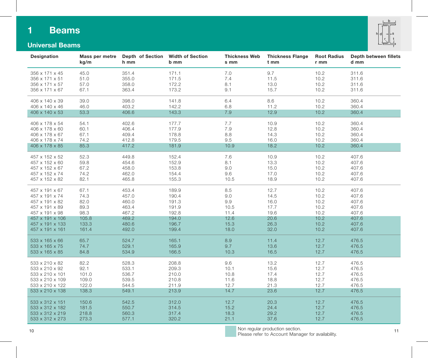## **1 Beams**



## **Universal Beams**

| Designation     | Mass per metre<br>kg/m | <b>Depth of Section</b><br>h mm | <b>Width of Section</b><br>b mm | <b>Thickness Web</b><br>s mm | <b>Thickness Flange</b><br>t mm | <b>Root Radius</b><br>r mm | Depth between fillets<br>d mm |
|-----------------|------------------------|---------------------------------|---------------------------------|------------------------------|---------------------------------|----------------------------|-------------------------------|
| 356 x 171 x 45  | 45.0                   | 351.4                           | 171.1                           | 7.0                          | 9.7                             | 10.2                       | 311.6                         |
| 356 x 171 x 51  | 51.0                   | 355.0                           | 171.5                           | 7.4                          | 11.5                            | 10.2                       | 311.6                         |
| 356 x 171 x 57  | 57.0                   | 358.0                           | 172.2                           | 8.1                          | 13.0                            | 10.2                       | 311.6                         |
| 356 x 171 x 67  | 67.1                   | 363.4                           | 173.2                           | 9.1                          | 15.7                            | 10.2                       | 311.6                         |
| 406 x 140 x 39  | 39.0                   | 398.0                           | 141.8                           | 6.4                          | 8.6                             | 10.2                       | 360.4                         |
| 406 x 140 x 46  | 46.0                   | 403.2                           | 142.2                           | 6.8                          | 11.2                            | 10.2                       | 360.4                         |
| 406 x 140 x 53  | 53.3                   | 406.6                           | 143.3                           | 7.9                          | 12.9                            | 10.2                       | 360.4                         |
| 406 x 178 x 54  | 54.1                   | 402.6                           | 177.7                           | 7.7                          | 10.9                            | 10.2                       | 360.4                         |
| 406 x 178 x 60  | 60.1                   | 406.4                           | 177.9                           | 7.9                          | 12.8                            | 10.2                       | 360.4                         |
| 406 x 178 x 67  | 67.1                   | 409.4                           | 178.8                           | 8.8                          | 14.3                            | 10.2                       | 360.4                         |
| 406 x 178 x 74  | 74.2                   | 412.8                           | 179.5                           | 9.5                          | 16.0                            | 10.2                       | 360.4                         |
| 406 x 178 x 85  | 85.3                   | 417.2                           | 181.9                           | 10.9                         | 18.2                            | 10.2                       | 360.4                         |
| 457 x 152 x 52  | 52.3                   | 449.8                           | 152.4                           | 7.6                          | 10.9                            | 10.2                       | 407.6                         |
| 457 x 152 x 60  | 59.8                   | 454.6                           | 152.9                           | 8.1                          | 13.3                            | 10.2                       | 407.6                         |
| 457 x 152 x 67  | 67.2                   | 458.0                           | 153.8                           | 9.0                          | 15.0                            | 10.2                       | 407.6                         |
| 457 x 152 x 74  | 74.2                   | 462.0                           | 154.4                           | 9.6                          | 17.0                            | 10.2                       | 407.6                         |
| 457 x 152 x 82  | 82.1                   | 465.8                           | 155.3                           | 10.5                         | 18.9                            | 10.2                       | 407.6                         |
| 457 x 191 x 67  | 67.1                   | 453.4                           | 189.9                           | 8.5                          | 12.7                            | 10.2                       | 407.6                         |
| 457 x 191 x 74  | 74.3                   | 457.0                           | 190.4                           | 9.0                          | 14.5                            | 10.2                       | 407.6                         |
| 457 x 191 x 82  | 82.0                   | 460.0                           | 191.3                           | 9.9                          | 16.0                            | 10.2                       | 407.6                         |
| 457 x 191 x 89  | 89.3                   | 463.4                           | 191.9                           | 10.5                         | 17.7                            | 10.2                       | 407.6                         |
| 457 x 191 x 98  | 98.3                   | 467.2                           | 192.8                           | 11.4                         | 19.6                            | 10.2                       | 407.6                         |
| 457 x 191 x 106 | 105.8                  | 469.2                           | 194.0                           | 12.6                         | 20.6                            | 10.2                       | 407.6                         |
| 457 x 191 x 133 | 133.3                  | 480.6                           | 196.7                           | 15.3                         | 26.3                            | 10.2                       | 407.6                         |
| 457 x 191 x 161 | 161.4                  | 492.0                           | 199.4                           | 18.0                         | 32.0                            | 10.2                       | 407.6                         |
| 533 x 165 x 66  | 65.7                   | 524.7                           | 165.1                           | 8.9                          | 11.4                            | 12.7                       | 476.5                         |
| 533 x 165 x 75  | 74.7                   | 529.1                           | 165.9                           | 9.7                          | 13.6                            | 12.7                       | 476.5                         |
| 533 x 165 x 85  | 84.8                   | 534.9                           | 166.5                           | 10.3                         | 16.5                            | 12.7                       | 476.5                         |
| 533 x 210 x 82  | 82.2                   | 528.3                           | 208.8                           | 9.6                          | 13.2                            | 12.7                       | 476.5                         |
| 533 x 210 x 92  | 92.1                   | 533.1                           | 209.3                           | 10.1                         | 15.6                            | 12.7                       | 476.5                         |
| 533 x 210 x 101 | 101.0                  | 536.7                           | 210.0                           | 10.8                         | 17.4                            | 12.7                       | 476.5                         |
| 533 x 210 x 109 | 109.0                  | 539.5                           | 210.8                           | 11.6                         | 18.8                            | 12.7                       | 476.5                         |
| 533 x 210 x 122 | 122.0                  | 544.5                           | 211.9                           | 12.7                         | 21.3                            | 12.7                       | 476.5                         |
| 533 x 210 x 138 | 138.3                  | 549.1                           | 213.9                           | 14.7                         | 23.6                            | 12.7                       | 476.5                         |
| 533 x 312 x 151 | 150.6                  | 542.5                           | 312.0                           | 12.7                         | 20.3                            | 12.7                       | 476.5                         |
| 533 x 312 x 182 | 181.5                  | 550.7                           | 314.5                           | 15.2                         | 24.4                            | 12.7                       | 476.5                         |
| 533 x 312 x 219 | 218.8                  | 560.3                           | 317.4                           | 18.3                         | 29.2                            | 12.7                       | 476.5                         |
| 533 x 312 x 273 | 273.3                  | 577.1                           | 320.2                           | 21.1                         | 37.6                            | 12.7                       | 476.5                         |
|                 |                        |                                 |                                 |                              |                                 |                            |                               |

10 11 Non regular production section. Please refer to Account Manager for availability.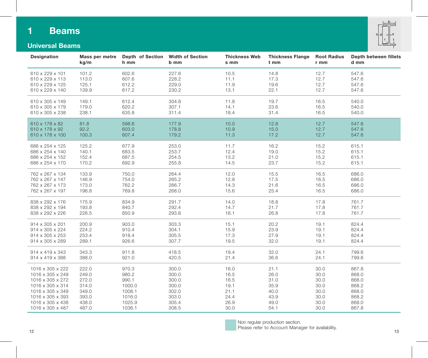## **1 Beams**





| Designation      | Mass per metre<br>kg/m | Depth of Section<br>h mm | <b>Width of Section</b><br>b mm | <b>Thickness Web</b><br>s mm | <b>Thickness Flange</b><br>t mm | <b>Root Radius</b><br>$r$ mm | Depth between fillets<br>d mm |
|------------------|------------------------|--------------------------|---------------------------------|------------------------------|---------------------------------|------------------------------|-------------------------------|
| 610 x 229 x 101  | 101.2                  | 602.6                    | 227.6                           | 10.5                         | 14.8                            | 12.7                         | 547.6                         |
| 610 x 229 x 113  | 113.0                  | 607.6                    | 228.2                           | 11.1                         | 17.3                            | 12.7                         | 547.6                         |
| 610 x 229 x 125  | 125.1                  | 612.2                    | 229.0                           | 11.9                         | 19.6                            | 12.7                         | 547.6                         |
| 610 x 229 x 140  | 139.9                  | 617.2                    | 230.2                           | 13.1                         | 22.1                            | 12.7                         | 547.6                         |
| 610 x 305 x 149  | 149.1                  | 612.4                    | 304.8                           | 11.8                         | 19.7                            | 16.5                         | 540.0                         |
| 610 x 305 x 179  | 179.0                  | 620.2                    | 307.1                           | 14.1                         | 23.6                            | 16.5                         | 540.0                         |
| 610 x 305 x 238  | 238.1                  | 635.8                    | 311.4                           | 18.4                         | 31.4                            | 16.5                         | 540.0                         |
| 610 x 178 x 82   | 81.8                   | 598.6                    | 177.9                           | 10.0                         | 12.8                            | 12.7                         | 547.6                         |
| 610 x 178 x 92   | 92.2                   | 603.0                    | 178.8                           | 10.9                         | 15.0                            | 12.7                         | 547.6                         |
| 610 x 178 x 100  | 100.3                  | 607.4                    | 179.2                           | 11.3                         | 17.2                            | 12.7                         | 547.6                         |
| 686 x 254 x 125  | 125.2                  | 677.9                    | 253.0                           | 11.7                         | 16.2                            | 15.2                         | 615.1                         |
| 686 x 254 x 140  | 140.1                  | 683.5                    | 253.7                           | 12.4                         | 19.0                            | 15.2                         | 615.1                         |
| 686 x 254 x 152  | 152.4                  | 687.5                    | 254.5                           | 13.2                         | 21.0                            | 15.2                         | 615.1                         |
| 686 x 254 x 170  | 170.2                  | 692.9                    | 255.8                           | 14.5                         | 23.7                            | 15.2                         | 615.1                         |
| 762 x 267 x 134  | 133.9                  | 750.0                    | 264.4                           | 12.0                         | 15.5                            | 16.5                         | 686.0                         |
| 762 x 267 x 147  | 146.9                  | 754.0                    | 265.2                           | 12.8                         | 17.5                            | 16.5                         | 686.0                         |
| 762 x 267 x 173  | 173.0                  | 762.2                    | 266.7                           | 14.3                         | 21.6                            | 16.5                         | 686.0                         |
| 762 x 267 x 197  | 196.8                  | 769.8                    | 268.0                           | 15.6                         | 25.4                            | 16.5                         | 686.0                         |
| 838 x 292 x 176  | 175.9                  | 834.9                    | 291.7                           | 14.0                         | 18.8                            | 17.8                         | 761.7                         |
| 838 x 292 x 194  | 193.8                  | 840.7                    | 292.4                           | 14.7                         | 21.7                            | 17.8                         | 761.7                         |
| 838 x 292 x 226  | 226.5                  | 850.9                    | 293.8                           | 16.1                         | 26.8                            | 17.8                         | 761.7                         |
| 914 x 305 x 201  | 200.9                  | 903.0                    | 303.3                           | 15.1                         | 20.2                            | 19.1                         | 824.4                         |
| 914 x 305 x 224  | 224.2                  | 910.4                    | 304.1                           | 15.9                         | 23.9                            | 19.1                         | 824.4                         |
| 914 x 305 x 253  | 253.4                  | 918.4                    | 305.5                           | 17.3                         | 27.9                            | 19.1                         | 824.4                         |
| 914 x 305 x 289  | 289.1                  | 926.6                    | 307.7                           | 19.5                         | 32.0                            | 19.1                         | 824.4                         |
| 914 x 419 x 343  | 343.3                  | 911.8                    | 418.5                           | 19.4                         | 32.0                            | 24.1                         | 799.6                         |
| 914 x 419 x 388  | 388.0                  | 921.0                    | 420.5                           | 21.4                         | 36.6                            | 24.1                         | 799.6                         |
| 1016 x 305 x 222 | 222.0                  | 970.3                    | 300.0                           | 16.0                         | 21.1                            | 30.0                         | 867.8                         |
| 1016 x 305 x 249 | 249.0                  | 980.2                    | 300.0                           | 16.5                         | 26.0                            | 30.0                         | 868.0                         |
| 1016 x 305 x 272 | 272.0                  | 990.1                    | 300.0                           | 16.5                         | 31.0                            | 30.0                         | 868.0                         |
| 1016 x 305 x 314 | 314.0                  | 1000.0                   | 300.0                           | 19.1                         | 35.9                            | 30.0                         | 868.2                         |
| 1016 x 305 x 349 | 349.0                  | 1008.1                   | 302.0                           | 21.1                         | 40.0                            | 30.0                         | 868.0                         |
| 1016 x 305 x 393 | 393.0                  | 1016.0                   | 303.0                           | 24.4                         | 43.9                            | 30.0                         | 868.2                         |
| 1016 x 305 x 438 | 438.0                  | 1025.9                   | 305.4                           | 26.9                         | 49.0                            | 30.0                         | 868.0                         |
| 1016 x 305 x 487 | 487.0                  | 1036.1                   | 308.5                           | 30.0                         | 54.1                            | 30.0                         | 867.8                         |



 $12$ Non regular production section. Please refer to Account Manager for availability.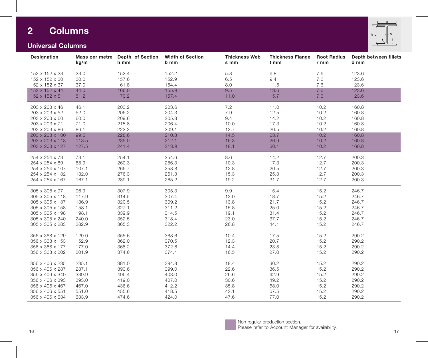## **2 Columns**



## **Universal Columns**

| 152 x 152 x 23<br>23.0<br>152.4<br>152.2<br>5.8<br>6.8<br>7.6<br>123.6<br>9.4<br>152 x 152 x 30<br>30.0<br>157.6<br>152.9<br>6.5<br>7.6<br>123.6<br>161.8<br>154.4<br>11.5<br>7.6<br>123.6<br>152 x 152 x 37<br>37.0<br>8.0<br>166.0<br>155.9<br>9.5<br>13.6<br>7.6<br>123.6<br>152 x 152 x 44<br>44.0<br>51.2<br>170.2<br>11.0<br>15.7<br>7.6<br>123.6<br>152 x 152 x 51<br>157.4<br>7.2<br>203.2<br>160.8<br>203 x 203 x 46<br>46.1<br>203.6<br>11.0<br>10.2<br>206.2<br>7.9<br>12.5<br>10.2<br>160.8<br>203 x 203 x 52<br>52.0<br>204.3<br>209.6<br>14.2<br>10.2<br>160.8<br>203 x 203 x 60<br>60.0<br>205.8<br>9.4<br>215.8<br>10.2<br>160.8<br>203 x 203 x 71<br>71.0<br>206.4<br>17.3<br>10.0<br>222.2<br>20.5<br>10.2<br>160.8<br>203 x 203 x 86<br>86.1<br>209.1<br>12.7<br>23.7<br>228.6<br>14.5<br>10.2<br>160.8<br>203 x 203 x 100<br>99.6<br>210.3<br>10.2<br>113.5<br>235.0<br>212.1<br>16.3<br>26.9<br>160.8<br>203 x 203 x 113<br>127.5<br>241.4<br>213.9<br>18.1<br>30.1<br>10.2<br>160.8<br>203 x 203 x 127<br>73.1<br>254.1<br>8.6<br>14.2<br>200.3<br>254 x 254 x 73<br>254.6<br>12.7<br>88.9<br>260.3<br>256.3<br>10.3<br>17.3<br>12.7<br>200.3<br>254 x 254 x 89<br>266.7<br>258.8<br>12.8<br>20.5<br>12.7<br>200.3<br>254 x 254 x 107<br>107.1<br>132.0<br>276.3<br>261.3<br>15.3<br>25.3<br>12.7<br>200.3<br>254 x 254 x 132<br>12.7<br>200.3<br>254 x 254 x 167<br>289.1<br>265.2<br>19.2<br>31.7<br>167.1<br>307.9<br>305.3<br>9.9<br>15.4<br>305 x 305 x 97<br>96.9<br>15.2<br>246.7<br>314.5<br>18.7<br>15.2<br>305 x 305 x 118<br>117.9<br>307.4<br>12.0<br>246.7<br>21.7<br>320.5<br>309.2<br>13.8<br>15.2<br>246.7<br>305 x 305 x 137<br>136.9<br>327.1<br>25.0<br>15.2<br>246.7<br>305 x 305 x 158<br>158.1<br>311.2<br>15.8<br>339.9<br>198.1<br>314.5<br>19.1<br>31.4<br>15.2<br>246.7<br>305 x 305 x 198 | Designation | kg/m | Mass per metre Depth of Section<br>h mm | <b>Width of Section</b><br>b mm | <b>Thickness Web</b><br>s mm | <b>Thickness Flange</b><br>t mm | <b>Root Radius</b><br>r mm | Depth between fillets<br>d mm |
|--------------------------------------------------------------------------------------------------------------------------------------------------------------------------------------------------------------------------------------------------------------------------------------------------------------------------------------------------------------------------------------------------------------------------------------------------------------------------------------------------------------------------------------------------------------------------------------------------------------------------------------------------------------------------------------------------------------------------------------------------------------------------------------------------------------------------------------------------------------------------------------------------------------------------------------------------------------------------------------------------------------------------------------------------------------------------------------------------------------------------------------------------------------------------------------------------------------------------------------------------------------------------------------------------------------------------------------------------------------------------------------------------------------------------------------------------------------------------------------------------------------------------------------------------------------------------------------------------------------------------------------------------------------------------------------------------------------------------------------------------------------------------------------------------------------------------------------------|-------------|------|-----------------------------------------|---------------------------------|------------------------------|---------------------------------|----------------------------|-------------------------------|
|                                                                                                                                                                                                                                                                                                                                                                                                                                                                                                                                                                                                                                                                                                                                                                                                                                                                                                                                                                                                                                                                                                                                                                                                                                                                                                                                                                                                                                                                                                                                                                                                                                                                                                                                                                                                                                            |             |      |                                         |                                 |                              |                                 |                            |                               |
|                                                                                                                                                                                                                                                                                                                                                                                                                                                                                                                                                                                                                                                                                                                                                                                                                                                                                                                                                                                                                                                                                                                                                                                                                                                                                                                                                                                                                                                                                                                                                                                                                                                                                                                                                                                                                                            |             |      |                                         |                                 |                              |                                 |                            |                               |
|                                                                                                                                                                                                                                                                                                                                                                                                                                                                                                                                                                                                                                                                                                                                                                                                                                                                                                                                                                                                                                                                                                                                                                                                                                                                                                                                                                                                                                                                                                                                                                                                                                                                                                                                                                                                                                            |             |      |                                         |                                 |                              |                                 |                            |                               |
|                                                                                                                                                                                                                                                                                                                                                                                                                                                                                                                                                                                                                                                                                                                                                                                                                                                                                                                                                                                                                                                                                                                                                                                                                                                                                                                                                                                                                                                                                                                                                                                                                                                                                                                                                                                                                                            |             |      |                                         |                                 |                              |                                 |                            |                               |
|                                                                                                                                                                                                                                                                                                                                                                                                                                                                                                                                                                                                                                                                                                                                                                                                                                                                                                                                                                                                                                                                                                                                                                                                                                                                                                                                                                                                                                                                                                                                                                                                                                                                                                                                                                                                                                            |             |      |                                         |                                 |                              |                                 |                            |                               |
|                                                                                                                                                                                                                                                                                                                                                                                                                                                                                                                                                                                                                                                                                                                                                                                                                                                                                                                                                                                                                                                                                                                                                                                                                                                                                                                                                                                                                                                                                                                                                                                                                                                                                                                                                                                                                                            |             |      |                                         |                                 |                              |                                 |                            |                               |
|                                                                                                                                                                                                                                                                                                                                                                                                                                                                                                                                                                                                                                                                                                                                                                                                                                                                                                                                                                                                                                                                                                                                                                                                                                                                                                                                                                                                                                                                                                                                                                                                                                                                                                                                                                                                                                            |             |      |                                         |                                 |                              |                                 |                            |                               |
|                                                                                                                                                                                                                                                                                                                                                                                                                                                                                                                                                                                                                                                                                                                                                                                                                                                                                                                                                                                                                                                                                                                                                                                                                                                                                                                                                                                                                                                                                                                                                                                                                                                                                                                                                                                                                                            |             |      |                                         |                                 |                              |                                 |                            |                               |
|                                                                                                                                                                                                                                                                                                                                                                                                                                                                                                                                                                                                                                                                                                                                                                                                                                                                                                                                                                                                                                                                                                                                                                                                                                                                                                                                                                                                                                                                                                                                                                                                                                                                                                                                                                                                                                            |             |      |                                         |                                 |                              |                                 |                            |                               |
|                                                                                                                                                                                                                                                                                                                                                                                                                                                                                                                                                                                                                                                                                                                                                                                                                                                                                                                                                                                                                                                                                                                                                                                                                                                                                                                                                                                                                                                                                                                                                                                                                                                                                                                                                                                                                                            |             |      |                                         |                                 |                              |                                 |                            |                               |
|                                                                                                                                                                                                                                                                                                                                                                                                                                                                                                                                                                                                                                                                                                                                                                                                                                                                                                                                                                                                                                                                                                                                                                                                                                                                                                                                                                                                                                                                                                                                                                                                                                                                                                                                                                                                                                            |             |      |                                         |                                 |                              |                                 |                            |                               |
|                                                                                                                                                                                                                                                                                                                                                                                                                                                                                                                                                                                                                                                                                                                                                                                                                                                                                                                                                                                                                                                                                                                                                                                                                                                                                                                                                                                                                                                                                                                                                                                                                                                                                                                                                                                                                                            |             |      |                                         |                                 |                              |                                 |                            |                               |
|                                                                                                                                                                                                                                                                                                                                                                                                                                                                                                                                                                                                                                                                                                                                                                                                                                                                                                                                                                                                                                                                                                                                                                                                                                                                                                                                                                                                                                                                                                                                                                                                                                                                                                                                                                                                                                            |             |      |                                         |                                 |                              |                                 |                            |                               |
|                                                                                                                                                                                                                                                                                                                                                                                                                                                                                                                                                                                                                                                                                                                                                                                                                                                                                                                                                                                                                                                                                                                                                                                                                                                                                                                                                                                                                                                                                                                                                                                                                                                                                                                                                                                                                                            |             |      |                                         |                                 |                              |                                 |                            |                               |
|                                                                                                                                                                                                                                                                                                                                                                                                                                                                                                                                                                                                                                                                                                                                                                                                                                                                                                                                                                                                                                                                                                                                                                                                                                                                                                                                                                                                                                                                                                                                                                                                                                                                                                                                                                                                                                            |             |      |                                         |                                 |                              |                                 |                            |                               |
|                                                                                                                                                                                                                                                                                                                                                                                                                                                                                                                                                                                                                                                                                                                                                                                                                                                                                                                                                                                                                                                                                                                                                                                                                                                                                                                                                                                                                                                                                                                                                                                                                                                                                                                                                                                                                                            |             |      |                                         |                                 |                              |                                 |                            |                               |
|                                                                                                                                                                                                                                                                                                                                                                                                                                                                                                                                                                                                                                                                                                                                                                                                                                                                                                                                                                                                                                                                                                                                                                                                                                                                                                                                                                                                                                                                                                                                                                                                                                                                                                                                                                                                                                            |             |      |                                         |                                 |                              |                                 |                            |                               |
|                                                                                                                                                                                                                                                                                                                                                                                                                                                                                                                                                                                                                                                                                                                                                                                                                                                                                                                                                                                                                                                                                                                                                                                                                                                                                                                                                                                                                                                                                                                                                                                                                                                                                                                                                                                                                                            |             |      |                                         |                                 |                              |                                 |                            |                               |
|                                                                                                                                                                                                                                                                                                                                                                                                                                                                                                                                                                                                                                                                                                                                                                                                                                                                                                                                                                                                                                                                                                                                                                                                                                                                                                                                                                                                                                                                                                                                                                                                                                                                                                                                                                                                                                            |             |      |                                         |                                 |                              |                                 |                            |                               |
|                                                                                                                                                                                                                                                                                                                                                                                                                                                                                                                                                                                                                                                                                                                                                                                                                                                                                                                                                                                                                                                                                                                                                                                                                                                                                                                                                                                                                                                                                                                                                                                                                                                                                                                                                                                                                                            |             |      |                                         |                                 |                              |                                 |                            |                               |
|                                                                                                                                                                                                                                                                                                                                                                                                                                                                                                                                                                                                                                                                                                                                                                                                                                                                                                                                                                                                                                                                                                                                                                                                                                                                                                                                                                                                                                                                                                                                                                                                                                                                                                                                                                                                                                            |             |      |                                         |                                 |                              |                                 |                            |                               |
|                                                                                                                                                                                                                                                                                                                                                                                                                                                                                                                                                                                                                                                                                                                                                                                                                                                                                                                                                                                                                                                                                                                                                                                                                                                                                                                                                                                                                                                                                                                                                                                                                                                                                                                                                                                                                                            |             |      |                                         |                                 |                              |                                 |                            |                               |
|                                                                                                                                                                                                                                                                                                                                                                                                                                                                                                                                                                                                                                                                                                                                                                                                                                                                                                                                                                                                                                                                                                                                                                                                                                                                                                                                                                                                                                                                                                                                                                                                                                                                                                                                                                                                                                            |             |      |                                         |                                 |                              |                                 |                            |                               |
| 37.7<br>240.0<br>352.5<br>318.4<br>23.0<br>15.2<br>246.7<br>305 x 305 x 240                                                                                                                                                                                                                                                                                                                                                                                                                                                                                                                                                                                                                                                                                                                                                                                                                                                                                                                                                                                                                                                                                                                                                                                                                                                                                                                                                                                                                                                                                                                                                                                                                                                                                                                                                                |             |      |                                         |                                 |                              |                                 |                            |                               |
| 282.9<br>365.3<br>322.2<br>26.8<br>44.1<br>15.2<br>246.7<br>305 x 305 x 283                                                                                                                                                                                                                                                                                                                                                                                                                                                                                                                                                                                                                                                                                                                                                                                                                                                                                                                                                                                                                                                                                                                                                                                                                                                                                                                                                                                                                                                                                                                                                                                                                                                                                                                                                                |             |      |                                         |                                 |                              |                                 |                            |                               |
| 129.0<br>355.6<br>290.2<br>356 x 368 x 129<br>368.6<br>10.4<br>17.5<br>15.2                                                                                                                                                                                                                                                                                                                                                                                                                                                                                                                                                                                                                                                                                                                                                                                                                                                                                                                                                                                                                                                                                                                                                                                                                                                                                                                                                                                                                                                                                                                                                                                                                                                                                                                                                                |             |      |                                         |                                 |                              |                                 |                            |                               |
| 152.9<br>362.0<br>370.5<br>12.3<br>20.7<br>290.2<br>356 x 368 x 153<br>15.2                                                                                                                                                                                                                                                                                                                                                                                                                                                                                                                                                                                                                                                                                                                                                                                                                                                                                                                                                                                                                                                                                                                                                                                                                                                                                                                                                                                                                                                                                                                                                                                                                                                                                                                                                                |             |      |                                         |                                 |                              |                                 |                            |                               |
| 368.2<br>372.6<br>23.8<br>15.2<br>290.2<br>356 x 368 x 177<br>177.0<br>14.4                                                                                                                                                                                                                                                                                                                                                                                                                                                                                                                                                                                                                                                                                                                                                                                                                                                                                                                                                                                                                                                                                                                                                                                                                                                                                                                                                                                                                                                                                                                                                                                                                                                                                                                                                                |             |      |                                         |                                 |                              |                                 |                            |                               |
| 27.0<br>15.2<br>290.2<br>374.6<br>374.4<br>16.5<br>356 x 368 x 202<br>201.9                                                                                                                                                                                                                                                                                                                                                                                                                                                                                                                                                                                                                                                                                                                                                                                                                                                                                                                                                                                                                                                                                                                                                                                                                                                                                                                                                                                                                                                                                                                                                                                                                                                                                                                                                                |             |      |                                         |                                 |                              |                                 |                            |                               |
| 381.0<br>394.8<br>30.2<br>290.2<br>356 x 406 x 235<br>235.1<br>18.4<br>15.2                                                                                                                                                                                                                                                                                                                                                                                                                                                                                                                                                                                                                                                                                                                                                                                                                                                                                                                                                                                                                                                                                                                                                                                                                                                                                                                                                                                                                                                                                                                                                                                                                                                                                                                                                                |             |      |                                         |                                 |                              |                                 |                            |                               |
| 393.6<br>36.5<br>15.2<br>290.2<br>356 x 406 x 287<br>287.1<br>399.0<br>22.6                                                                                                                                                                                                                                                                                                                                                                                                                                                                                                                                                                                                                                                                                                                                                                                                                                                                                                                                                                                                                                                                                                                                                                                                                                                                                                                                                                                                                                                                                                                                                                                                                                                                                                                                                                |             |      |                                         |                                 |                              |                                 |                            |                               |
| 339.9<br>406.4<br>26.6<br>42.9<br>15.2<br>290.2<br>356 x 406 x 340<br>403.0                                                                                                                                                                                                                                                                                                                                                                                                                                                                                                                                                                                                                                                                                                                                                                                                                                                                                                                                                                                                                                                                                                                                                                                                                                                                                                                                                                                                                                                                                                                                                                                                                                                                                                                                                                |             |      |                                         |                                 |                              |                                 |                            |                               |
| 393.0<br>419.0<br>407.0<br>49.2<br>15.2<br>290.2<br>356 x 406 x 393<br>30.6                                                                                                                                                                                                                                                                                                                                                                                                                                                                                                                                                                                                                                                                                                                                                                                                                                                                                                                                                                                                                                                                                                                                                                                                                                                                                                                                                                                                                                                                                                                                                                                                                                                                                                                                                                |             |      |                                         |                                 |                              |                                 |                            |                               |
| 467.0<br>436.6<br>412.2<br>35.8<br>58.0<br>15.2<br>290.2<br>356 x 406 x 467                                                                                                                                                                                                                                                                                                                                                                                                                                                                                                                                                                                                                                                                                                                                                                                                                                                                                                                                                                                                                                                                                                                                                                                                                                                                                                                                                                                                                                                                                                                                                                                                                                                                                                                                                                |             |      |                                         |                                 |                              |                                 |                            |                               |
| 551.0<br>455.6<br>418.5<br>42.1<br>67.5<br>15.2<br>290.2<br>356 x 406 x 551                                                                                                                                                                                                                                                                                                                                                                                                                                                                                                                                                                                                                                                                                                                                                                                                                                                                                                                                                                                                                                                                                                                                                                                                                                                                                                                                                                                                                                                                                                                                                                                                                                                                                                                                                                |             |      |                                         |                                 |                              |                                 |                            |                               |
| 633.9<br>474.6<br>47.6<br>77.0<br>15.2<br>290.2<br>356 x 406 x 634<br>424.0                                                                                                                                                                                                                                                                                                                                                                                                                                                                                                                                                                                                                                                                                                                                                                                                                                                                                                                                                                                                                                                                                                                                                                                                                                                                                                                                                                                                                                                                                                                                                                                                                                                                                                                                                                |             |      |                                         |                                 |                              |                                 |                            |                               |



Non regular production section. Please refer to Account Manager for availability.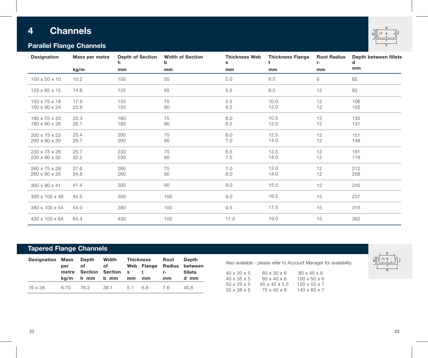# **4 Channels**



## **Parallel Flange Channels**

| Designation               | Mass per metre | <b>Depth of Section</b><br>h | <b>Width of Section</b><br>b | <b>Thickness Web</b><br>s | <b>Thickness Flange</b> | <b>Root Radius</b><br>r <sub>1</sub> | Depth between fillets<br>d |
|---------------------------|----------------|------------------------------|------------------------------|---------------------------|-------------------------|--------------------------------------|----------------------------|
|                           | kg/m           | mm                           | mm                           | mm                        | mm                      | mm                                   | mm                         |
| $100 \times 50 \times 10$ | 10.2           | 100                          | 50                           | 5.0                       | 8.5                     | $\mathsf g$                          | 65                         |
| 125 x 65 x 15             | 14.8           | 125                          | 65                           | 5.5                       | 9.5                     | 12                                   | 82                         |
| 150 x 75 x 18             | 17.9           | 150                          | 75                           | 5.5                       | 10.0                    | 12                                   | 106                        |
| 150 x 90 x 24             | 23.9           | 150                          | 90                           | 6.5                       | 12.0                    | 12                                   | 102                        |
| 180 x 75 x 20             | 20.3           | 180                          | 75                           | 6.0                       | 10.5                    | 12                                   | 135                        |
| 180 x 90 x 26             | 26.1           | 180                          | 90                           | 6.5                       | 12.5                    | 12                                   | 131                        |
| 200 x 75 x 23             | 23.4           | 200                          | 75                           | 6.0                       | 12.5                    | 12                                   | 151                        |
| 200 x 90 x 30             | 29.7           | 200                          | 90                           | 7.0                       | 14.0                    | 12                                   | 148                        |
| 230 x 75 x 26             | 25.7           | 230                          | 75                           | 6.5                       | 12.5                    | 12                                   | 181                        |
| 230 x 90 x 32             | 32.2           | 230                          | 90                           | 7.5                       | 14.0                    | 12                                   | 178                        |
| 260 x 75 x 28             | 27.6           | 260                          | 75                           | 7.0                       | 12.0                    | 12                                   | 212                        |
| 260 x 90 x 35             | 34.8           | 260                          | 90                           | 8.0                       | 14.0                    | 12                                   | 208                        |
| $300 \times 90 \times 41$ | 41.4           | 300                          | 90                           | 9.0                       | 15.5                    | 12                                   | 245                        |
| 300 x 100 x 46            | 45.5           | 300                          | 100                          | 9.0                       | 16.5                    | 15                                   | 237                        |
| 380 x 100 x 54            | 54.0           | 380                          | 100                          | 9.5                       | 17.5                    | 15                                   | 315                        |
| 430 x 100 x 64            | 64.4           | 430                          | 100                          | 11.0                      | 19.0                    | 15                                   | 362                        |

## **Tapered Flange Channels**

| <b>Designation Mass Depth</b> | per<br>metre | of<br>$ka/m$ h mm | Width<br>of the contract of the contract of the contract of the contract of the contract of the contract of the contract<br>Section Section s<br>b mm | mm  | Thickness<br>Web Flange<br>$\mathbf{t}$<br>mm | Root<br>r.<br>mm | Depth<br>Radius between<br>fillets<br>d mm |
|-------------------------------|--------------|-------------------|-------------------------------------------------------------------------------------------------------------------------------------------------------|-----|-----------------------------------------------|------------------|--------------------------------------------|
| 76 x 38                       | 6.70         | 76.2              | 38.1                                                                                                                                                  | 5.1 | 68                                            | 76               | 45.8                                       |

Also available - please refer to Account Manager for availability.

| $40 \times 20 \times 5$ | 60 x 30 x 6               | 80 x 45 x 6              |
|-------------------------|---------------------------|--------------------------|
| $40 \times 35 \times 5$ | $60 \times 40 \times 6$   | $100 \times 50 \times 6$ |
| $50 \times 25 \times 5$ | $65 \times 42 \times 5.5$ | $120 \times 55 \times 7$ |
| 50 x 38 x 5             | $70 \times 40 \times 6$   | $140 \times 60 \times 7$ |

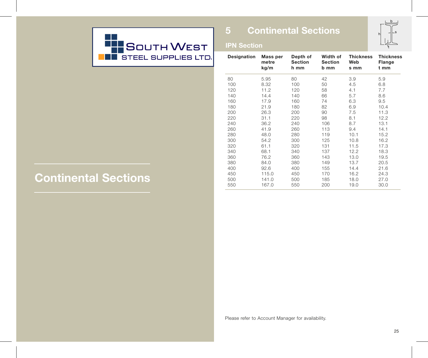

## **5 Continental Sections**



## **IPN Section**

| Designation | Mass per<br>metre<br>kg/m | Depth of<br><b>Section</b><br>h mm | Width of<br><b>Section</b><br>b mm | <b>Thickness</b><br>Web<br>s mm | <b>Thickness</b><br>Flange<br>t mm |
|-------------|---------------------------|------------------------------------|------------------------------------|---------------------------------|------------------------------------|
| 80          | 5.95                      | 80                                 | 42                                 | 3.9                             | 5.9                                |
| 100         | 8.32                      | 100                                | 50                                 | 4.5                             | 6.8                                |
| 120         | 11.2                      | 120                                | 58                                 | 4.1                             | 7.7                                |
| 140         | 14.4                      | 140                                | 66                                 | 5.7                             | 8.6                                |
| 160         | 17.9                      | 160                                | 74                                 | 6.3                             | 9.5                                |
| 180         | 21.9                      | 180                                | 82                                 | 6.9                             | 10.4                               |
| 200         | 26.3                      | 200                                | 90                                 | 7.5                             | 11.3                               |
| 220         | 31.1                      | 220                                | 98                                 | 8.1                             | 12.2                               |
| 240         | 36.2                      | 240                                | 106                                | 8.7                             | 13.1                               |
| 260         | 41.9                      | 260                                | 113                                | 9.4                             | 14.1                               |
| 280         | 48.0                      | 280                                | 119                                | 10.1                            | 15.2                               |
| 300         | 54.2                      | 300                                | 125                                | 10.8                            | 16.2                               |
| 320         | 61.1                      | 320                                | 131                                | 11.5                            | 17.3                               |
| 340         | 68.1                      | 340                                | 137                                | 12.2                            | 18.3                               |
| 360         | 76.2                      | 360                                | 143                                | 13.0                            | 19.5                               |
| 380         | 84.0                      | 380                                | 149                                | 13.7                            | 20.5                               |
| 400         | 92.6                      | 400                                | 155                                | 14.4                            | 21.6                               |
| 450         | 115.0                     | 450                                | 170                                | 16.2                            | 24.3                               |
| 500         | 141.0                     | 500                                | 185                                | 18.0                            | 27.0                               |
| 550         | 167.0                     | 550                                | 200                                | 19.0                            | 30.0                               |

# **Continental Sections**

Please refer to Account Manager for availability.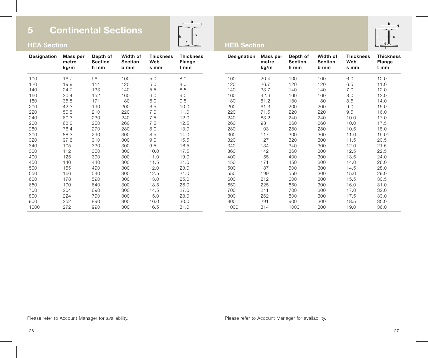**HEA Section**



## **HEB Section**



**Thickness Flange t mm** 10.0 11.0 12.0 13.0 14.0 15.0 16.0 17.0 17.5 18.0 19.01 20.5 21.5 22.5 24.0 26.0 28.0 29.0 30.5 31.0 32.0 33.0 35.0 36.0

| Designation | Mass per<br>metre<br>kg/m | Depth of<br><b>Section</b><br>h mm | Width of<br><b>Section</b><br>b mm | <b>Thickness</b><br>Web<br>s mm | <b>Thickness</b><br>Flange<br>t mm | Designation | Mass per<br>metre<br>kg/m | Depth of<br><b>Section</b><br>h mm | Width of<br><b>Section</b><br>b mm | <b>Thickness</b><br>Web<br>s mm |
|-------------|---------------------------|------------------------------------|------------------------------------|---------------------------------|------------------------------------|-------------|---------------------------|------------------------------------|------------------------------------|---------------------------------|
| 100         | 16.7                      | 96                                 | 100                                | 5.0                             | 8.0                                | 100         | 20.4                      | 100                                | 100                                | 6.0                             |
| 120         | 19.9                      | 114                                | 120                                | 5.0                             | 8.0                                | 120         | 26.7                      | 120                                | 120                                | 6.5                             |
| 140         | 24.7                      | 133                                | 140                                | 5.5                             | 8.5                                | 140         | 33.7                      | 140                                | 140                                | 7.0                             |
| 160         | 30.4                      | 152                                | 160                                | 6.0                             | 9.0                                | 160         | 42.6                      | 160                                | 160                                | 8.0                             |
| 180         | 35.5                      | 171                                | 180                                | 6.0                             | 9.5                                | 180         | 51.2                      | 180                                | 180                                | 8.5                             |
| 200         | 42.3                      | 190                                | 200                                | 6.5                             | 10.0                               | 200         | 61.3                      | 200                                | 200                                | 9.0                             |
| 220         | 50.5                      | 210                                | 220                                | 7.0                             | 11.0                               | 220         | 71.5                      | 220                                | 220                                | 9.5                             |
| 240         | 60.3                      | 230                                | 240                                | 7.5                             | 12.0                               | 240         | 83.2                      | 240                                | 240                                | 10.0                            |
| 260         | 68.2                      | 250                                | 260                                | 7.5                             | 12.5                               | 260         | 93                        | 260                                | 260                                | 10.0                            |
| 280         | 76.4                      | 270                                | 280                                | 8.0                             | 13.0                               | 280         | 103                       | 280                                | 280                                | 10.5                            |
| 300         | 88.3                      | 290                                | 300                                | 8.5                             | 14.0                               | 300         | 117                       | 300                                | 300                                | 11.0                            |
| 320         | 97.6                      | 310                                | 300                                | 9.0                             | 15.5                               | 320         | 127                       | 320                                | 300                                | 11.5                            |
| 340         | 105                       | 330                                | 300                                | 9.5                             | 16.5                               | 340         | 134                       | 340                                | 300                                | 12.0                            |
| 360         | 112                       | 350                                | 300                                | 10.0                            | 17.5                               | 360         | 142                       | 360                                | 300                                | 12.5                            |
| 400         | 125                       | 390                                | 300                                | 11.0                            | 19.0                               | 400         | 155                       | 400                                | 300                                | 13.5                            |
| 450         | 140                       | 440                                | 300                                | 11.5                            | 21.0                               | 450         | 171                       | 450                                | 300                                | 14.0                            |
| 500         | 155                       | 490                                | 300                                | 12.0                            | 23.0                               | 500         | 187                       | 500                                | 300                                | 14.5                            |
| 550         | 166                       | 540                                | 300                                | 12.5                            | 24.0                               | 550         | 199                       | 550                                | 300                                | 15.0                            |
| 600         | 178                       | 590                                | 300                                | 13.0                            | 25.0                               | 600         | 212                       | 600                                | 300                                | 15.5                            |
| 650         | 190                       | 640                                | 300                                | 13.5                            | 26.0                               | 650         | 225                       | 650                                | 300                                | 16.0                            |
| 700         | 204                       | 690                                | 300                                | 14.5                            | 27.0                               | 700         | 241                       | 700                                | 300                                | 17.0                            |
| 800         | 224                       | 790                                | 300                                | 15.0                            | 28.0                               | 800         | 262                       | 800                                | 300                                | 17.5                            |
| 900         | 252                       | 890                                | 300                                | 16.0                            | 30.0                               | 900         | 291                       | 900                                | 300                                | 18.5                            |
| 1000        | 272                       | 990                                | 300                                | 16.5                            | 31.0                               | 1000        | 314                       | 1000                               | 300                                | 19.0                            |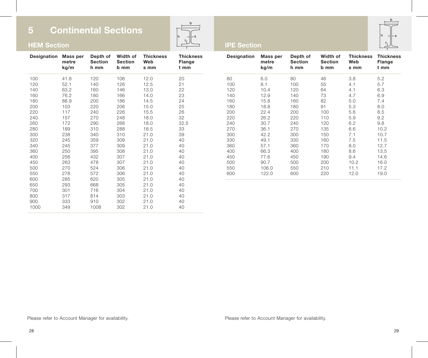

## **IPE Section**

|   | h |   |
|---|---|---|
|   |   |   |
| h |   | s |
|   | t |   |
|   |   |   |

| Designation | Mass per<br>metre<br>kg/m | Depth of<br><b>Section</b><br>h mm | Width of<br><b>Section</b><br>b mm | <b>Thickness</b><br>Web<br>s mm | <b>Thickness</b><br>Flange<br>t mm |
|-------------|---------------------------|------------------------------------|------------------------------------|---------------------------------|------------------------------------|
| 100         | 41.8                      | 120                                | 106                                | 12.0                            | 20                                 |
| 120         | 52.1                      | 140                                | 126                                | 12.5                            | 21                                 |
| 140         | 63.2                      | 160                                | 146                                | 13.0                            | 22                                 |
| 160         | 76.2                      | 180                                | 166                                | 14.0                            | 23                                 |
| 180         | 88.9                      | 200                                | 186                                | 14.5                            | 24                                 |
| 200         | 103                       | 220                                | 206                                | 15.0                            | 25                                 |
| 220         | 117                       | 240                                | 226                                | 15.5                            | 26                                 |
| 240         | 157                       | 270                                | 248                                | 18.0                            | 32                                 |
| 260         | 172                       | 290                                | 268                                | 18.0                            | 32.5                               |
| 280         | 189                       | 310                                | 288                                | 18.5                            | 33                                 |
| 300         | 238                       | 340                                | 310                                | 21.0                            | 39                                 |
| 320         | 245                       | 359                                | 309                                | 21.0                            | 40                                 |
| 340         | 245                       | 377                                | 309                                | 21.0                            | 40                                 |
| 360         | 250                       | 395                                | 308                                | 21.0                            | 40                                 |
| 400         | 256                       | 432                                | 307                                | 21.0                            | 40                                 |
| 450         | 263                       | 478                                | 307                                | 21.0                            | 40                                 |
| 500         | 270                       | 524                                | 306                                | 21.0                            | 40                                 |
| 550         | 278                       | 572                                | 306                                | 21.0                            | 40                                 |
| 600         | 285                       | 620                                | 305                                | 21.0                            | 40                                 |
| 650         | 293                       | 668                                | 305                                | 21.0                            | 40                                 |
| 700         | 301                       | 716                                | 304                                | 21.0                            | 40                                 |
| 800         | 317                       | 814                                | 303                                | 21.0                            | 40                                 |
| 900         | 333                       | 910                                | 302                                | 21.0                            | 40                                 |
| 1000        | 349                       | 1008                               | 302                                | 21.0                            | 40                                 |

| <b>Designation</b> | Mass per<br>metre<br>kg/m | Depth of<br><b>Section</b><br>h mm | Width of<br><b>Section</b><br>b mm | <b>Thickness</b><br>Web<br>s mm | <b>Thickness</b><br>Flange<br>t mm |
|--------------------|---------------------------|------------------------------------|------------------------------------|---------------------------------|------------------------------------|
| 80                 | 6.0                       | 80                                 | 46                                 | 3.8                             | 5.2                                |
| 100                | 8.1                       | 100                                | 55                                 | 4.1                             | 5.7                                |
| 120                | 10.4                      | 120                                | 64                                 | 4.1                             | 6.3                                |
| 140                | 12.9                      | 140                                | 73                                 | 4.7                             | 6.9                                |
| 160                | 15.8                      | 160                                | 82                                 | 5.0                             | 7.4                                |
| 180                | 18.8                      | 180                                | 91                                 | 5.3                             | 8.0                                |
| 200                | 22.4                      | 200                                | 100                                | 5.6                             | 8.5                                |
| 220                | 26.2                      | 220                                | 110                                | 5.9                             | 9.2                                |
| 240                | 30.7                      | 240                                | 120                                | 6.2                             | 9.8                                |
| 270                | 36.1                      | 270                                | 135                                | 6.6                             | 10.2                               |
| 300                | 42.2                      | 300                                | 150                                | 7.1                             | 10.7                               |
| 330                | 49.1                      | 330                                | 160                                | 7.5                             | 11.5                               |
| 360                | 57.1                      | 360                                | 170                                | 8.0                             | 12.7                               |
| 400                | 66.3                      | 400                                | 180                                | 8.6                             | 13.5                               |
| 450                | 77.6                      | 450                                | 190                                | 9.4                             | 14.6                               |
| 500                | 90.7                      | 500                                | 200                                | 10.2                            | 16.0                               |
| 550                | 106.0                     | 550                                | 210                                | 11.1                            | 17.2                               |
| 600                | 122.0                     | 600                                | 220                                | 12.0                            | 19.0                               |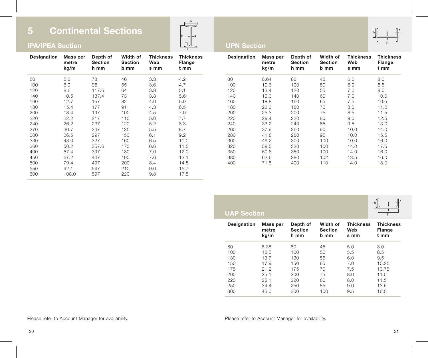## **IPA/IPEA Section**

| Designation | Mass per<br>metre<br>kg/m | Depth of<br><b>Section</b><br>h mm | Width of<br><b>Section</b><br>b mm | <b>Thickness</b><br>Web<br>s mm | <b>Thickness</b><br>Flange<br>t mm |
|-------------|---------------------------|------------------------------------|------------------------------------|---------------------------------|------------------------------------|
| 80          | 5.0                       | 78                                 | 46                                 | 3.3                             | 4.2                                |
| 100         | 6.9                       | 98                                 | 55                                 | 3.6                             | 4.7                                |
| 120         | 8.6                       | 117.6                              | 64                                 | 3.8                             | 5.1                                |
| 140         | 10.5                      | 137.4                              | 73                                 | 3.8                             | 5.6                                |
| 160         | 12.7                      | 157                                | 82                                 | 4.0                             | 5.9                                |
| 180         | 15.4                      | 177                                | 91                                 | 4.3                             | 6.5                                |
| 200         | 18.4                      | 197                                | 100                                | 4.5                             | 7.0                                |
| 220         | 22.2                      | 217                                | 110                                | 5.0                             | 7.7                                |
| 240         | 26.2                      | 237                                | 120                                | 5.2                             | 8.3                                |
| 270         | 30.7                      | 267                                | 135                                | 5.5                             | 8.7                                |
| 300         | 36.5                      | 297                                | 150                                | 6.1                             | 9.2                                |
| 330         | 43.0                      | 327                                | 160                                | 6.5                             | 10.0                               |
| 360         | 50.2                      | 357.6                              | 170                                | 6.6                             | 11.5                               |
| 400         | 57.4                      | 397                                | 180                                | 7.0                             | 12.0                               |
| 450         | 67.2                      | 447                                | 190                                | 7.6                             | 13.1                               |
| 500         | 79.4                      | 497                                | 200                                | 8.4                             | 14.5                               |
| 550         | 92.1                      | 547                                | 210                                | 9.0                             | 15.7                               |
| 600         | 108.0                     | 597                                | 220                                | 9.8                             | 17.5                               |



## **UPN Section**

| Designation | Mass per<br>metre<br>kg/m | Depth of<br><b>Section</b><br>h mm | Width of<br>Section<br>b mm | <b>Thickness</b><br>Web<br>s mm | <b>Thickness</b><br>Flange<br>t mm |
|-------------|---------------------------|------------------------------------|-----------------------------|---------------------------------|------------------------------------|
| 80          | 8.64                      | 80                                 | 45                          | 6.0                             | 8.0                                |
| 100         | 10.6                      | 100                                | 50                          | 6.0                             | 8.5                                |
| 120         | 13.4                      | 120                                | 55                          | 7.0                             | 9.0                                |
| 140         | 16.0                      | 140                                | 60                          | 7.0                             | 10.0                               |
| 160         | 18.8                      | 160                                | 65                          | 7.5                             | 10.5                               |
| 180         | 22.0                      | 180                                | 70                          | 8.0                             | 11.0                               |
| 200         | 25.3                      | 200                                | 75                          | 8.5                             | 11.5                               |
| 220         | 29.4                      | 220                                | 80                          | 9.0                             | 12.5                               |
| 240         | 33.2                      | 240                                | 85                          | 9.5                             | 13.0                               |
| 260         | 37.9                      | 260                                | 90                          | 10.0                            | 14.0                               |
| 280         | 41.8                      | 280                                | 95                          | 10.0                            | 15.5                               |
| 300         | 46.2                      | 300                                | 100                         | 10.0                            | 16.0                               |
| 320         | 59.5                      | 320                                | 100                         | 14.0                            | 17.5                               |
| 350         | 60.6                      | 350                                | 100                         | 14.0                            | 16.0                               |
| 380         | 62.6                      | 380                                | 102                         | 13.5                            | 16.0                               |
| 400         | 71.8                      | 400                                | 110                         | 14.0                            | 18.0                               |

|                                                                           |                                    |                             |                                 | $\mathbf{b}$<br>s<br>h             |
|---------------------------------------------------------------------------|------------------------------------|-----------------------------|---------------------------------|------------------------------------|
| Mass per<br>metre<br>kg/m                                                 | Depth of<br><b>Section</b><br>h mm | Width of<br>Section<br>b mm | <b>Thickness</b><br>Web<br>s mm | <b>Thickness</b><br>Flange<br>t mm |
| 8.38                                                                      | 80                                 | 45                          | 5.0                             | 8.0                                |
| 10.5                                                                      | 100                                | 50                          | 5.5                             | 8.5                                |
| 13.7                                                                      | 130                                | 55                          | 6.0                             | 9.5                                |
| 17.9                                                                      | 150                                | 65                          | 7.0                             | 10.25                              |
| 21.2                                                                      | 175                                | 70                          | 7.5                             | 10.75                              |
| 25.1                                                                      | 200                                | 75                          | 8.0                             | 11.5                               |
| 25.1                                                                      | 220                                | 80                          | 8.0                             | 11.5                               |
| 34.4                                                                      | 250                                | 85                          | 9.0                             | 13.5                               |
| 46.0                                                                      | 300                                | 100                         | 9.5                             | 16.0                               |
| Designation<br>80<br>100<br>130<br>150<br>175<br>200<br>220<br>250<br>300 | <b>UAP Section</b>                 |                             |                                 |                                    |

 $b$  to the set of  $\frac{1}{2}$ h s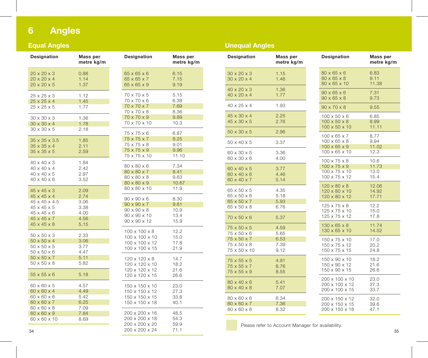### **A n g l e s**

### **E**qual Angles

| Designation                                                                                                                  | Mass per<br>metre kg/m                       | Designation                                                                                                                   |
|------------------------------------------------------------------------------------------------------------------------------|----------------------------------------------|-------------------------------------------------------------------------------------------------------------------------------|
| $20 \times 20 \times 3$<br>$20 \times 20 \times 4$<br>$20 \times 20 \times 5$                                                | 0.88<br>1.14<br>1.37                         | $65 \times 65 \times 6$<br>65 x 65 x 7<br>65 x 65 x 9                                                                         |
| 25 x 25 x 3<br>25 x 25 x 4<br>25 x 25 x 5                                                                                    | 1.12<br>1.45<br>1.77                         | 70 x 70 x 5<br>70 x 70 x 6<br>70 x 70 x 7<br>70 x 70 x 8                                                                      |
| 30 x 30 x 3<br>$30 \times 30 \times 4$<br>$30 \times 30 \times 5$                                                            | 1.36<br>1.78<br>2.18                         | 70 x 70 x 9<br>70 x 70 x 10                                                                                                   |
| $35 \times 35 \times 3.5$<br>$35 \times 35 \times 4$<br>$35 \times 35 \times 5$                                              | 1.85<br>2.11<br>2.59                         | 75 x 75 x 6<br>75 x 75 x 7<br>75 x 75 x 8<br>75 x 75 x 9<br>75 x 75 x 10                                                      |
| $40 \times 40 \times 3$<br>$40 \times 40 \times 4$<br>40 x 40 x 5<br>$40 \times 40 \times 6$                                 | 1.84<br>2.42<br>2.97<br>3.52                 | 80 x 80 x 6<br>80 x 80 x 7<br>80 x 80 x 8<br>80 x 80 x 9                                                                      |
| $45 \times 45 \times 3$<br>$45 \times 45 \times 4$<br>45 x 45 x 4.5<br>45 x 45 x 5<br>45 x 45 x 6<br>$45 \times 45 \times 7$ | 2.09<br>2.74<br>3.06<br>3.38<br>4.00<br>4.56 | 80 x 80 x 10<br>$90 \times 90 \times 6$<br>$90 \times 90 \times 7$<br>$90 \times 90 \times 8$<br>90 x 90 x 10<br>90 x 90 x 12 |
| $45 \times 45 \times 8$<br>50 x 50 x 3<br>$50 \times 50 \times 4$<br>50 x 50 x 5<br>$50 \times 50 \times 6$                  | 5.15<br>2.33<br>3.06<br>3.77<br>4.47         | 100 x 100 x 8<br>100 x 100 x 10<br>100 x 100 x 12<br>100 x 100 x 15                                                           |
| $50 \times 50 \times 7$<br>$50 \times 50 \times 8$<br>$55 \times 55 \times 6$                                                | 5.11<br>5.82<br>5.18                         | 120 x 120 x 8<br>120 x 120 x 10<br>120 x 120 x 12<br>120 x 120 x 15                                                           |
| 60 x 60 x 5<br>$60 \times 60 \times 4$<br>60 x 60 x 6<br>60 x 60 x 7                                                         | 4.57<br>4.49<br>5.42<br>6.25                 | 150 x 150 x 10<br>150 x 150 x 12<br>150 x 150 x 15<br>150 x 150 x 18                                                          |
| 60 x 60 x 8<br>$60 \times 60 \times 9$<br>60 x 60 x 10                                                                       | 7.09<br>7.84<br>8.69                         | 200 x 200 x 16<br>200 x 200 x 18<br>200 x 200 x 20                                                                            |

| Designation               | Mass per<br>metre kg/m |
|---------------------------|------------------------|
| 65 x 65 x 6               | 6.15                   |
| 65 x 65 x 7               | 7.15                   |
| 65 x 65 x 9               | 9.19                   |
| 70 x 70 x 5               | 5.15                   |
| 70 x 70 x 6               | 6.38                   |
| 70 x 70 x 7               | 7.69                   |
| 70 x 70 x 8               | 8.36                   |
| 70 x 70 x 9               | 9.89                   |
| 70 x 70 x 10              | 10.3                   |
| 75 x 75 x 6               | 6.87                   |
| 75 x 75 x 7               | 8.25                   |
| 75 x 75 x 8               | 9.01                   |
| 75 x 75 x 9               | 9.96                   |
| 75 x 75 x 10              | 11.10                  |
| 80 x 80 x 6               | 7.34                   |
| 80 x 80 x 7               | 8.41                   |
| 80 x 80 x 8               | 9.63                   |
| 80 x 80 x 9               | 10.67                  |
| 80 x 80 x 10              | 11.9                   |
| 90 x 90 x 6               | 8.30                   |
| $90 \times 90 \times 7$   | 9.61                   |
| 90 x 90 x 8               | 10.9                   |
| 90 x 90 x 10              | 13.4                   |
| 90 x 90 x 12              | 15.9                   |
| $100 \times 100 \times 8$ | 12.2                   |
| 100 x 100 x 10            | 15.0                   |
| 100 x 100 x 12            | 17.8                   |
| 100 x 100 x 15            | 21.9                   |
| 120 x 120 x 8             | 14.7                   |
| 120 x 120 x 10            | 18.2                   |
| 120 x 120 x 12            | 21.6                   |
| 120 x 120 x 15            | 26.6                   |
| 150 x 150 x 10            | 23.0                   |
| 150 x 150 x 12            | 27.3                   |
| 150 x 150 x 15            | 33.8                   |
| 150 x 150 x 18            | 40.1                   |
| 200 x 200 x 16            | 48.5                   |
| 200 x 200 x 18            | 54.3                   |
| 200 x 200 x 20            | 59.9                   |
| 200 x 200 x 24            | 71.1                   |

### **Unequal Angles**

| Designation                                        | Mass per<br>metre kg/m                                                              | Designation                                                                            |
|----------------------------------------------------|-------------------------------------------------------------------------------------|----------------------------------------------------------------------------------------|
| $30 \times 20 \times 3$<br>$30 \times 20 \times 4$ | 1.15<br>1.46                                                                        | $80 \times 65 \times 6$<br>80 x 65 x 8<br>80 x 65 x 10                                 |
| $40 \times 20 \times 4$                            | 1.77                                                                                | $90 \times 65 \times 6$<br>$90 \times 65 \times 8$                                     |
| 40 x 25 x 4                                        | 1.93                                                                                | 90 x 70 x 8                                                                            |
| 45 x 30 x 4<br>$45 \times 30 \times 5$             | 2.25<br>2.76                                                                        | $100 \times 50 \times 6$<br>$100 \times 50 \times 8$<br>100 x 50 x 10                  |
| $50 \times 30 \times 5$                            | 2.96                                                                                | $100 \times 65 \times 7$                                                               |
| $50 \times 40 \times 5$                            | 3.37                                                                                | $100 \times 65 \times 8$<br>$100 \times 65 \times 9$                                   |
| 60 x 30 x 5                                        | 3.36                                                                                | 100 x 65 x 10                                                                          |
| 60 x 40 x 5<br>60 x 40 x 6                         | 3.77<br>4.46                                                                        | $100 \times 75 \times 8$<br>$100 \times 75 \times 9$<br>100 x 75 x 10<br>100 x 75 x 12 |
| 65 x 50 x 5<br>65 x 50 x 6                         | 4.35<br>5.18                                                                        | $120 \times 80 \times 8$<br>120 x 80 x 10<br>120 x 80 x 12                             |
| 65 x 50 x 8                                        | 6.76                                                                                | 125 x 75 x 8<br>125 x 75 x 10                                                          |
| $70 \times 50 \times 6$                            | 5.37                                                                                | 125 x 75 x 12                                                                          |
| 75 x 50 x 5                                        | 4.59                                                                                | $130 \times 65 \times 8$<br>130 x 65 x 10                                              |
| 75 x 50 x 7<br>75 x 50 x 8<br>75 x 50 x 10         | 6.53<br>7.39<br>9.12                                                                | 150 x 75 x 10<br>150 x 75 x 12<br>150 x 75 x 15                                        |
| 75 x 55 x 5<br>75 x 55 x 7<br>75 x 55 x 9          | 4.91<br>6.76<br>8.55                                                                | 150 x 90 x 10<br>150 x 90 x 12<br>150 x 90 x 15                                        |
| $80 \times 40 \times 6$<br>80 x 40 x 8             | 5.41<br>7.07                                                                        | 200 x 100 x 10<br>200 x 100 x 12<br>200 x 100 x 15                                     |
| 80 x 60 x 6<br>80 x 60 x 7<br>80 x 60 x 8          | 6.34<br>7.36<br>8.32                                                                | 200 x 150 x 12<br>200 x 150 x 15<br>200 x 150 x 18                                     |
|                                                    | $40 \times 20 \times 3$<br>60 x 30 x 6<br>60 x 40 x 7<br>65 x 50 x 7<br>75 x 50 x 6 | 1.36<br>4.00<br>5.14<br>5.93<br>5.65                                                   |

Please refer to Account Manager for availability. l i l i l i

**Mass per m e t r e k g / m**

6.83

9.11

. 3 1

. 7 3

. 5 5

. 8 5

. 9 9

. 7 7

. 9 4

2 . 3

0 . 6

3 . 0

5 . 4

12.06

4 . 9 2

7 . 7 1

2 . 2

5 . 0

7 . 8

1 . 7 4

4 . 5 2

7 . 0

0 . 2

4 . 8

8 . 2

1 . 6

6 . 6

23.C

27.3

3 . 7

2 . 0

9 . 6

7 . 1

1 . 7 3

1 . 0 2

1 . 1 1

1 . 3 8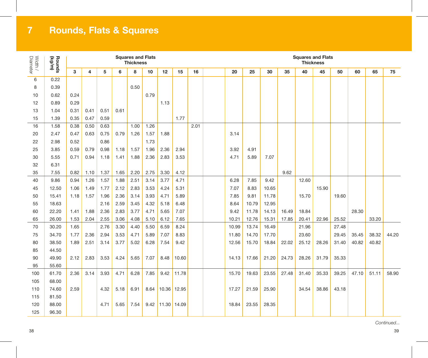# **Rounds, Flats & Squares**

| Width /<br>Diameter | Rounds<br>(kg/m) |      |      |      |      | <b>Squares and Flats</b><br><b>Thickness</b> |      |             |       |      |       |       |       |       | <b>Thickness</b> | <b>Squares and Flats</b> |       |       |       |       |
|---------------------|------------------|------|------|------|------|----------------------------------------------|------|-------------|-------|------|-------|-------|-------|-------|------------------|--------------------------|-------|-------|-------|-------|
|                     |                  | 3    | 4    | 5    | 6    | 8                                            | 10   | 12          | 15    | 16   | 20    | 25    | 30    | 35    | 40               | 45                       | 50    | 60    | 65    | 75    |
| 6                   | 0.22             |      |      |      |      |                                              |      |             |       |      |       |       |       |       |                  |                          |       |       |       |       |
| 8                   | 0.39             |      |      |      |      | 0.50                                         |      |             |       |      |       |       |       |       |                  |                          |       |       |       |       |
| 10                  | 0.62             | 0.24 |      |      |      |                                              | 0.79 |             |       |      |       |       |       |       |                  |                          |       |       |       |       |
| 12                  | 0.89             | 0.29 |      |      |      |                                              |      | 1.13        |       |      |       |       |       |       |                  |                          |       |       |       |       |
| 13                  | 1.04             | 0.31 | 0.41 | 0.51 | 0.61 |                                              |      |             |       |      |       |       |       |       |                  |                          |       |       |       |       |
| 15                  | 1.39             | 0.35 | 0.47 | 0.59 |      |                                              |      |             | 1.77  |      |       |       |       |       |                  |                          |       |       |       |       |
| 16                  | 1.58             | 0.38 | 0.50 | 0.63 |      | 1.00                                         | 1.26 |             |       | 2.01 |       |       |       |       |                  |                          |       |       |       |       |
| 20                  | 2.47             | 0.47 | 0.63 | 0.75 | 0.79 | 1.26                                         | 1.57 | 1.88        |       |      | 3.14  |       |       |       |                  |                          |       |       |       |       |
| 22                  | 2.98             | 0.52 |      | 0.86 |      |                                              | 1.73 |             |       |      |       |       |       |       |                  |                          |       |       |       |       |
| 25                  | 3.85             | 0.59 | 0.79 | 0.98 | 1.18 | 1.57                                         | 1.96 | 2.36        | 2.94  |      | 3.92  | 4.91  |       |       |                  |                          |       |       |       |       |
| 30                  | 5.55             | 0.71 | 0.94 | 1.18 | 1.41 | 1.88                                         | 2.36 | 2.83        | 3.53  |      | 4.71  | 5.89  | 7.07  |       |                  |                          |       |       |       |       |
| 32                  | 6.31             |      |      |      |      |                                              |      |             |       |      |       |       |       |       |                  |                          |       |       |       |       |
| 35                  | 7.55             | 0.82 | 1.10 | 1.37 | 1.65 | 2.20                                         | 2.75 | 3.30        | 4.12  |      |       |       |       | 9.62  |                  |                          |       |       |       |       |
| 40                  | 9.86             | 0.94 | 1.26 | 1.57 | 1.88 | 2.51                                         | 3.14 | 3.77        | 4.71  |      | 6.28  | 7.85  | 9.42  |       | 12.60            |                          |       |       |       |       |
| 45                  | 12.50            | 1.06 | 1.49 | 1.77 | 2.12 | 2.83                                         | 3.53 | 4.24        | 5.31  |      | 7.07  | 8.83  | 10.65 |       |                  | 15.90                    |       |       |       |       |
| 50                  | 15.41            | 1.18 | 1.57 | 1.96 | 2.36 | 3.14                                         | 3.93 | 4.71        | 5.89  |      | 7.85  | 9.81  | 11.78 |       | 15.70            |                          | 19.60 |       |       |       |
| 55                  | 18.63            |      |      | 2.16 | 2.59 | 3.45                                         | 4.32 | 5.18        | 6.48  |      | 8.64  | 10.79 | 12.95 |       |                  |                          |       |       |       |       |
| 60                  | 22.20            | 1.41 | 1.88 | 2.36 | 2.83 | 3.77                                         | 4.71 | 5.65        | 7.07  |      | 9.42  | 11.78 | 14.13 | 16.49 | 18.84            |                          |       | 28.30 |       |       |
| 65                  | 26.00            | 1.53 | 2.04 | 2.55 | 3.06 | 4.08                                         | 5.10 | 6.12        | 7.65  |      | 10.21 | 12.76 | 15.31 | 17.85 | 20.41            | 22.96                    | 25.52 |       | 33.20 |       |
| 70                  | 30.20            | 1.65 |      | 2.76 | 3.30 | 4.40                                         | 5.50 | 6.59        | 8.24  |      | 10.99 | 13.74 | 16.49 |       | 21.96            |                          | 27.48 |       |       |       |
| 75                  | 34.70            | 1.77 | 2.36 | 2.94 | 3.53 | 4.71                                         | 5.89 | 7.07        | 8.83  |      | 11.80 | 14.70 | 17.70 |       | 23.60            |                          | 29.45 | 35.45 | 38.32 | 44.20 |
| 80                  | 38.50            | 1.89 | 2.51 | 3.14 | 3.77 | 5.02                                         | 6.28 | 7.54        | 9.42  |      | 12.56 | 15.70 | 18.84 | 22.02 | 25.12            | 28.26                    | 31.40 | 40.82 | 40.82 |       |
| 85                  | 44.50            |      |      |      |      |                                              |      |             |       |      |       |       |       |       |                  |                          |       |       |       |       |
| 90                  | 49.90            | 2.12 | 2.83 | 3.53 | 4.24 | 5.65                                         | 7.07 | 8.48        | 10.60 |      | 14.13 | 17.66 | 21.20 | 24.73 | 28.26            | 31.79                    | 35.33 |       |       |       |
| 95                  | 55.60            |      |      |      |      |                                              |      |             |       |      |       |       |       |       |                  |                          |       |       |       |       |
| 100                 | 61.70            | 2.36 | 3.14 | 3.93 | 4.71 | 6.28                                         | 7.85 | 9.42        | 11.78 |      | 15.70 | 19.63 | 23.55 | 27.48 | 31.40            | 35.33                    | 39.25 | 47.10 | 51.11 | 58.90 |
| 105                 | 68.00            |      |      |      |      |                                              |      |             |       |      |       |       |       |       |                  |                          |       |       |       |       |
| 110                 | 74.60            | 2.59 |      | 4.32 | 5.18 | 6.91                                         | 8.64 | 10.36 12.95 |       |      | 17.27 | 21.59 | 25.90 |       | 34.54            | 38.86                    | 43.18 |       |       |       |
| 115                 | 81.50            |      |      |      |      |                                              |      |             |       |      |       |       |       |       |                  |                          |       |       |       |       |
| 120                 | 88.00            |      |      | 4.71 | 5.65 | 7.54                                         | 9.42 | 11.30 14.09 |       |      | 18.84 | 23.55 | 28.35 |       |                  |                          |       |       |       |       |
| 125                 | 96.30            |      |      |      |      |                                              |      |             |       |      |       |       |       |       |                  |                          |       |       |       |       |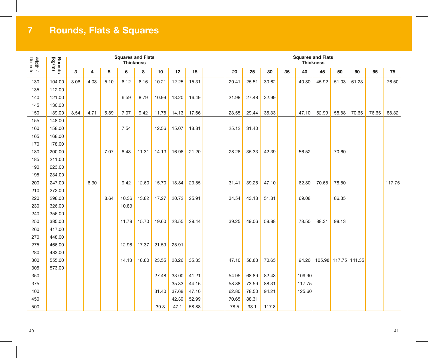# **Rounds, Flats & Squares**

| Diameter<br>Width / | Rounds<br>(kg/m) |      |      |      | <b>Squares and Flats</b><br><b>Thickness</b> |       |       |       |       | <b>Squares and Flats</b><br><b>Thickness</b> |       |       |    |        |       |                      |       |       |        |
|---------------------|------------------|------|------|------|----------------------------------------------|-------|-------|-------|-------|----------------------------------------------|-------|-------|----|--------|-------|----------------------|-------|-------|--------|
|                     |                  | 3    | 4    | 5    | 6                                            | 8     | 10    | 12    | 15    | 20                                           | 25    | 30    | 35 | 40     | 45    | 50                   | 60    | 65    | 75     |
| 130                 | 104.00           | 3.06 | 4.08 | 5.10 | 6.12                                         | 8.16  | 10.21 | 12.25 | 15.31 | 20.41                                        | 25.51 | 30.62 |    | 40.80  | 45.92 | 51.03                | 61.23 |       | 76.50  |
| 135                 | 112.00           |      |      |      |                                              |       |       |       |       |                                              |       |       |    |        |       |                      |       |       |        |
| 140                 | 121.00           |      |      |      | 6.59                                         | 8.79  | 10.99 | 13.20 | 16.49 | 21.98                                        | 27.48 | 32.99 |    |        |       |                      |       |       |        |
| 145                 | 130.00           |      |      |      |                                              |       |       |       |       |                                              |       |       |    |        |       |                      |       |       |        |
| 150                 | 139.00           | 3.54 | 4.71 | 5.89 | 7.07                                         | 9.42  | 11.78 | 14.13 | 17.66 | 23.55                                        | 29.44 | 35.33 |    | 47.10  | 52.99 | 58.88                | 70.65 | 76.65 | 88.32  |
| 155                 | 148.00           |      |      |      |                                              |       |       |       |       |                                              |       |       |    |        |       |                      |       |       |        |
| 160                 | 158.00           |      |      |      | 7.54                                         |       | 12.56 | 15.07 | 18.81 | 25.12                                        | 31.40 |       |    |        |       |                      |       |       |        |
| 165                 | 168.00           |      |      |      |                                              |       |       |       |       |                                              |       |       |    |        |       |                      |       |       |        |
| 170                 | 178.00           |      |      |      |                                              |       |       |       |       |                                              |       |       |    |        |       |                      |       |       |        |
| 180                 | 200.00           |      |      | 7.07 | 8.48                                         | 11.31 | 14.13 | 16.96 | 21.20 | 28.26                                        | 35.33 | 42.39 |    | 56.52  |       | 70.60                |       |       |        |
| 185                 | 211.00           |      |      |      |                                              |       |       |       |       |                                              |       |       |    |        |       |                      |       |       |        |
| 190                 | 223.00           |      |      |      |                                              |       |       |       |       |                                              |       |       |    |        |       |                      |       |       |        |
| 195                 | 234.00           |      |      |      |                                              |       |       |       |       |                                              |       |       |    |        |       |                      |       |       |        |
| 200                 | 247.00           |      | 6.30 |      | 9.42                                         | 12.60 | 15.70 | 18.84 | 23.55 | 31.41                                        | 39.25 | 47.10 |    | 62.80  | 70.65 | 78.50                |       |       | 117.75 |
| 210                 | 272.00           |      |      |      |                                              |       |       |       |       |                                              |       |       |    |        |       |                      |       |       |        |
| 220                 | 298.00           |      |      | 8.64 | 10.36                                        | 13.82 | 17.27 | 20.72 | 25.91 | 34.54                                        | 43.18 | 51.81 |    | 69.08  |       | 86.35                |       |       |        |
| 230                 | 326.00           |      |      |      | 10.83                                        |       |       |       |       |                                              |       |       |    |        |       |                      |       |       |        |
| 240                 | 356.00           |      |      |      |                                              |       |       |       |       |                                              |       |       |    |        |       |                      |       |       |        |
| 250                 | 385.00           |      |      |      | 11.78                                        | 15.70 | 19.60 | 23.55 | 29.44 | 39.25                                        | 49.06 | 58.88 |    | 78.50  | 88.31 | 98.13                |       |       |        |
| 260                 | 417.00           |      |      |      |                                              |       |       |       |       |                                              |       |       |    |        |       |                      |       |       |        |
| 270                 | 448.00           |      |      |      |                                              |       |       |       |       |                                              |       |       |    |        |       |                      |       |       |        |
| 275                 | 466.00           |      |      |      | 12.96                                        | 17.37 | 21.59 | 25.91 |       |                                              |       |       |    |        |       |                      |       |       |        |
| 280                 | 483.00           |      |      |      |                                              |       |       |       |       |                                              |       |       |    |        |       |                      |       |       |        |
| 300                 | 555.00           |      |      |      | 14.13                                        | 18.80 | 23.55 | 28.26 | 35.33 | 47.10                                        | 58.88 | 70.65 |    | 94.20  |       | 105.98 117.75 141.35 |       |       |        |
| 305                 | 573.00           |      |      |      |                                              |       |       |       |       |                                              |       |       |    |        |       |                      |       |       |        |
| 350                 |                  |      |      |      |                                              |       | 27.48 | 33.00 | 41.21 | 54.95                                        | 68.89 | 82.43 |    | 109.90 |       |                      |       |       |        |
| 375                 |                  |      |      |      |                                              |       |       | 35.33 | 44.16 | 58.88                                        | 73.59 | 88.31 |    | 117.75 |       |                      |       |       |        |
| 400                 |                  |      |      |      |                                              |       | 31.40 | 37.68 | 47.10 | 62.80                                        | 78.50 | 94.21 |    | 125.60 |       |                      |       |       |        |
| 450                 |                  |      |      |      |                                              |       |       | 42.39 | 52.99 | 70.65                                        | 88.31 |       |    |        |       |                      |       |       |        |
| 500                 |                  |      |      |      |                                              |       | 39.3  | 47.1  | 58.88 | 78.5                                         | 98.1  | 117.8 |    |        |       |                      |       |       |        |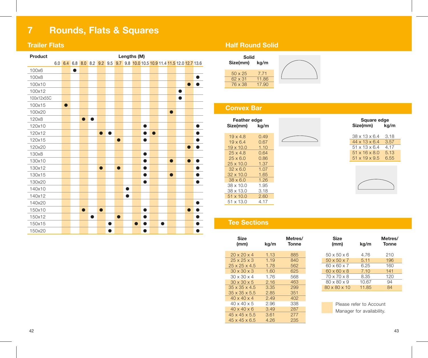# **7 Rounds, Flats & Squares**

### **Trailer Flats**

| Product    |                                                                             |   |           |           |           |   |           |           | Lengths (M) |           |           |   |           |           |           |  |
|------------|-----------------------------------------------------------------------------|---|-----------|-----------|-----------|---|-----------|-----------|-------------|-----------|-----------|---|-----------|-----------|-----------|--|
|            | 6.0 6.4 6.8 8.0 8.2 9.2 9.5 9.7 9.8 10.0 10.5 10.9 11.4 11.5 12.0 12.7 13.6 |   |           |           |           |   |           |           |             |           |           |   |           |           |           |  |
| 100x6      |                                                                             | ● |           |           |           |   |           |           |             |           |           |   |           |           |           |  |
| 100x8      |                                                                             |   |           |           |           |   |           |           |             |           |           |   |           |           |           |  |
| 100x10     |                                                                             |   |           |           |           |   |           |           |             |           |           |   |           |           | $\bullet$ |  |
| 100x12     |                                                                             |   |           |           |           |   |           |           |             |           |           |   |           | ●         |           |  |
| 100x12x55C |                                                                             |   |           |           |           |   |           |           |             |           |           |   |           | $\bullet$ |           |  |
| 100x15     | $\bullet$                                                                   |   |           |           |           |   |           |           |             |           |           |   |           |           |           |  |
| 100x20     |                                                                             |   |           |           |           |   |           |           |             |           |           |   | $\bullet$ |           |           |  |
| 120x8      |                                                                             |   | $\bullet$ | $\bullet$ |           |   |           |           |             |           |           |   |           |           |           |  |
| 120x10     |                                                                             |   |           |           |           |   |           |           |             | ●         |           |   |           |           |           |  |
| 120x12     |                                                                             |   |           |           | $\bullet$ |   |           |           |             | ●         | $\bullet$ |   |           |           |           |  |
| 120x15     |                                                                             |   |           |           |           |   | $\bullet$ |           |             |           |           |   |           |           |           |  |
| 120x20     |                                                                             |   |           |           |           |   |           |           |             |           |           |   |           |           |           |  |
| 130x8      |                                                                             |   |           |           |           |   |           |           |             | $\bullet$ |           |   |           |           |           |  |
| 130x10     |                                                                             |   |           |           |           |   |           |           |             | 6         |           |   | $\bullet$ |           | $\bullet$ |  |
| 130x12     |                                                                             |   |           |           | $\bullet$ |   | $\bullet$ |           |             | ●         |           |   |           |           |           |  |
| 130x15     |                                                                             |   |           |           |           |   |           |           |             | ●         |           |   | $\bullet$ |           |           |  |
| 130x20     |                                                                             |   |           |           |           |   |           |           |             |           |           |   |           |           |           |  |
| 140x10     |                                                                             |   |           |           |           |   |           | $\bullet$ |             |           |           |   |           |           |           |  |
| 140x12     |                                                                             |   |           |           |           |   |           | ●         |             |           |           |   |           |           |           |  |
| 140x20     |                                                                             |   |           |           |           |   |           |           |             |           |           |   |           |           |           |  |
| 150x10     |                                                                             |   | $\bullet$ |           | n         |   |           |           |             | ●         |           |   |           |           |           |  |
| 150x12     |                                                                             |   |           | $\bullet$ |           |   | $\bullet$ |           |             |           |           |   |           |           |           |  |
| 150x15     |                                                                             |   |           |           |           | ● |           |           | $\bullet$   | n         |           | ● |           |           |           |  |
| 150x20     |                                                                             |   |           |           |           |   |           |           |             | n         |           |   |           |           |           |  |

### **Half Round Solid**



## **Convex Bar**

| Feather edge<br>Size(mm) | kg/m |  |
|--------------------------|------|--|
|                          |      |  |
| $19 \times 4.8$          | 0.49 |  |
| $19 \times 6.4$          | 0.67 |  |
| $19 \times 10.0$         | 1.10 |  |
| $25 \times 4.8$          | 0.64 |  |
| $25 \times 6.0$          | 0.86 |  |
| $25 \times 10.0$         | 1.37 |  |
| $32 \times 6.0$          | 1.07 |  |
| $32 \times 10.0$         | 1.65 |  |
| $38 \times 6.0$          | 1.26 |  |
| $38 \times 10.0$         | 1.95 |  |
| $38 \times 13.0$         | 3.18 |  |
| $51 \times 10.0$         | 2.60 |  |
| 51 x 13.0                | 4 17 |  |

| Size(mm) |                           | Square edge | kg/m |
|----------|---------------------------|-------------|------|
|          | $38 \times 13 \times 6.4$ | 3.18        |      |
|          | $44 \times 13 \times 6.4$ | 3.57        |      |
|          | $51 \times 13 \times 64$  | 4.17        |      |
|          | $51 \times 16 \times 8.0$ | 5.13        |      |
|          | $51 \times 19 \times 9.5$ | 6.55        |      |
|          |                           |             |      |

### **Tee Sections**

| Size<br>(mm)              | ka/m | Metres/<br><b>Tonne</b> |
|---------------------------|------|-------------------------|
| $20 \times 20 \times 4$   | 1.13 | 885                     |
| $25 \times 25 \times 3$   | 1.19 | 840                     |
| $25 \times 25 \times 4.5$ | 1.78 | 562                     |
| $30 \times 30 \times 3$   | 1.60 | 625                     |
| $30 \times 30 \times 4$   | 1.76 | 568                     |
| $30 \times 30 \times 5$   | 2.16 | 463                     |
| $35 \times 35 \times 4.5$ | 3.35 | 299                     |
| $35 \times 35 \times 5.5$ | 2.85 | 351                     |
| $40 \times 40 \times 4$   | 2.49 | 402                     |
| $40 \times 40 \times 5$   | 2.96 | 338                     |
| $40 \times 40 \times 6$   | 3.49 | 287                     |
| $45 \times 45 \times 5.5$ | 3.61 | 277                     |
| $45 \times 45 \times 6.5$ | 4.26 | 235                     |

| Size<br>(mm)             | kg/m  | Metres/<br>Tonne |
|--------------------------|-------|------------------|
| $50 \times 50 \times 6$  | 4.76  | 210              |
| $50 \times 50 \times 7$  | 5.11  | 196              |
| 60 x 60 x 7              | 6.25  | 160              |
| $60 \times 60 \times 8$  | 7.10  | 141              |
| 70 x 70 x 8              | 8.35  | 120              |
| 80 x 80 x 9              | 10.67 | 94               |
| $80 \times 80 \times 10$ | 11.85 | 84               |
|                          |       |                  |

Please refer to Account Manager for availability.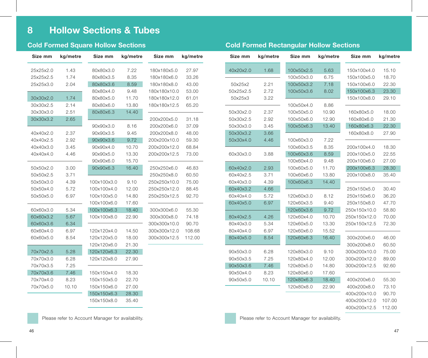| Size mm   | kg/metre | Size mm     | kg/metre | Size mm      | kg/metre |
|-----------|----------|-------------|----------|--------------|----------|
| 25x25x2.0 | 1.43     | 80x80x3.0   | 7.22     | 180x180x5.0  | 27.97    |
| 25x25x2.5 | 1.74     | 80x80x3.5   | 8.35     | 180x180x6.0  | 33.26    |
| 25x25x3.0 | 2.04     | 80x80x3.6   | 8.59     | 180x180x8.0  | 43.00    |
|           |          | 80x80x4.0   | 9.48     | 180x180x10.0 | 53.00    |
| 30x30x2.0 | 1.74     | 80x80x5.0   | 11.70    | 180x180x12.0 | 61.01    |
| 30x30x2.5 | 2.14     | 80x80x6.0   | 13.80    | 180x180x12.5 | 65.20    |
| 30x30x3.0 | 2.51     | 80x80x6.3   | 14.40    |              |          |
| 30x30x3.2 | 2.65     |             |          | 200x200x5.0  | 31.18    |
|           |          | 90x90x3.0   | 8.16     | 200x200x6.0  | 37.09    |
| 40x40x2.0 | 2.37     | 90x90x3.5   | 9.45     | 200x200x8.0  | 48.00    |
| 40x40x2.5 | 2.92     | 90x90x3.6   | 9.72     | 200x200x10.0 | 59.30    |
| 40x40x3.0 | 3.45     | 90x90x4.0   | 10.70    | 200x200x12.0 | 68.84    |
| 40x40x4.0 | 4.46     | 90x90x5.0   | 13.30    | 200x200x12.5 | 73.00    |
|           |          | 90x90x6.0   | 15.70    |              |          |
| 50x50x2.0 | 3.00     | 90x90x6.3   | 16.40    | 250x250x6.0  | 46.83    |
| 50x50x2.5 | 3.71     |             |          | 250x250x8.0  | 60.50    |
| 50x50x3.0 | 4.39     | 100x100x3.0 | 9.10     | 250x250x10.0 | 75.00    |
| 50x50x4.0 | 5.72     | 100x100x4.0 | 12.00    | 250x250x12.0 | 88.45    |
| 50x50x5.0 | 6.97     | 100x100x5.0 | 14.80    | 250x250x12.5 | 92.70    |
|           |          | 100x100x6.0 | 17.60    |              |          |
| 60x60x3.0 | 5.34     | 100x100x6.3 | 18.40    | 300x300x6.0  | 55.30    |
| 60x60x3.2 | 5.67     | 100x100x8.0 | 22.90    | 300x300x8.0  | 74.18    |
| 60x60x3.6 | 6.34     |             |          | 300x300x10.0 | 90.70    |
| 60x60x4.0 | 6.97     | 120x120x4.0 | 14.50    | 300x300x12.0 | 108.68   |
| 60x60x5.0 | 8.54     | 120x120x5.0 | 18.00    | 300x300x12.5 | 112.00   |
|           |          | 120x120x6.0 | 21.30    |              |          |
| 70x70x2.5 | 5.28     | 120x120x6.3 | 22.30    |              |          |
| 70x70x3.0 | 6.28     | 120x120x8.0 | 27.90    |              |          |
| 70x70x3.5 | 7.25     |             |          |              |          |
| 70x70x3.6 | 7.46     | 150x150x4.0 | 18.30    |              |          |
| 70x70x4.0 | 8.23     | 150x150x5.0 | 22.70    |              |          |
| 70x70x5.0 | 10.10    | 150x150x6.0 | 27.00    |              |          |
|           |          | 150x150x6.3 | 28.30    |              |          |
|           |          | 150x150x8.0 | 35.40    |              |          |

| Size mm   | kg/metre | Size mm    | kg/metre | Size mm      | kg/metre |
|-----------|----------|------------|----------|--------------|----------|
| 40x20x2.0 | 1.68     | 100x50x2.5 | 5.63     | 150x100x4.0  | 15.10    |
|           |          | 100x50x3.0 | 6.75     | 150x100x5.0  | 18.70    |
| 50x25x2   | 2.21     | 100x50x3.2 | 7.18     | 150x100x6.0  | 22.30    |
| 50x25x2.5 | 2.72     | 100x50x3.6 | 8.02     | 150x100x6.3  | 23.30    |
| 50x25x3   | 3.22     |            |          | 150x100x8.0  | 29.10    |
|           |          | 100x50x4.0 | 8.86     |              |          |
| 50x30x2.0 | 2.37     | 100x50x5.0 | 10.90    | 160x80x5.0   | 18.00    |
| 50x30x2.5 | 2.92     | 100x50x6.0 | 12.90    | 160x80x6.0   | 21.30    |
| 50x30x3.0 | 3.45     | 100x50x6.3 | 13.40    | 160x80x6.3   | 22.30    |
| 50x30x3.2 | 3.66     |            |          | 160x80x8.0   | 27.90    |
| 50x30x4.0 | 4.46     | 100x60x3.0 | 7.22     |              |          |
|           |          | 100x60x3.5 | 8.35     | 200x100x4.0  | 18.30    |
| 60x30x3.0 | 3.88     | 100x60x3.6 | 8.59     | 200x100x5.0  | 22.55    |
|           |          | 100x60x4.0 | 9.48     | 200x100x6.0  | 27.00    |
| 60x40x2.0 | 2.93     | 100x60x5.0 | 11.70    | 200x100x6.3  | 28.30    |
| 60x40x2.5 | 3.71     | 100x60x6.0 | 13.80    | 200x100x8.0  | 35.40    |
| 60x40x3.0 | 4.39     | 100x60x6.3 | 14.40    |              |          |
| 60x40x3.2 | 4.66     |            |          | 250x150x5.0  | 30.40    |
| 60x40x4.0 | 5.72     | 120x60x3.0 | 8.12     | 250x150x6.0  | 36.20    |
| 60x40x5.0 | 6.97     | 120x60x3.5 | 9.40     | 250x150x8.0  | 47.70    |
|           |          | 120x60x3.6 | 9.72     | 250x150x10.0 | 58.80    |
| 80x40x2.5 | 4.26     | 120x60x4.0 | 10.70    | 250x150x12.0 | 70.00    |
| 80x40x3.0 | 5.34     | 120x60x5.0 | 13.30    | 250x150x12.5 | 72.30    |
| 80x40x4.0 | 6.97     | 120x60x6.0 | 15.52    |              |          |
| 80x40x5.0 | 8.54     | 120x60x6.3 | 16.40    | 300x200x6.0  | 46.00    |
|           |          |            |          | 300x200x8.0  | 60.50    |
| 90x50x3.0 | 6.28     | 120x80x3.0 | 9.10     | 300x200x10.0 | 75.00    |
| 90x50x3.5 | 7.25     | 120x80x4.0 | 12.00    | 300x200x12.0 | 89.00    |
| 90x50x3.6 | 7.46     | 120x80x5.0 | 14.80    | 300x200x12.5 | 92.60    |
| 90x50x4.0 | 8.23     | 120x80x6.0 | 17.60    |              |          |
| 90x50x5.0 | 10.10    | 120x80x6.3 | 18.40    | 400x200x6.0  | 55.30    |
|           |          | 120x80x8.0 | 22.90    | 400x200x8.0  | 73.10    |
|           |          |            |          | 400x200x10.0 | 90.70    |
|           |          |            |          | 400x200x12.0 | 107.00   |
|           |          |            |          | 400x200x12.5 | 112.00   |

Please refer to Account Manager for availability. The example of the Please refer to Account Manager for availability.

## **Cold Formed Square Hollow Sections Cold Formed Rectangular Hollow Sections**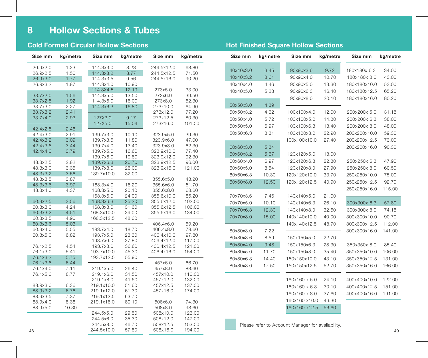### **Cold Formed Circular Hollow Sections Hot Finished Square Hollow Sections**

| Size mm              | kg/metre     | Size mm                | kg/metre       | Size mm                 | kg/metre       | Size mm   | kg/metre | Size mm                                           | kg/metre | Size mm      | kg/metr |
|----------------------|--------------|------------------------|----------------|-------------------------|----------------|-----------|----------|---------------------------------------------------|----------|--------------|---------|
| 26.9x2.0             | 1.23         | 114.3x3.0              | 8.23           | 244.5x12.0              | 68.80          | 40x40x3.0 | 3.45     | 90x90x3.6                                         | 9.72     | 180x180x 6.3 | 34.00   |
| 26.9x2.5             | 1.50         | 114.3x3.2              | 8.77           | 244.5x12.5              | 71.50          |           |          |                                                   |          |              |         |
| 26.9x3.0             | 1.77         | 114.3x3.5              | 9.56           | 244.5x16.0              | 90.20          | 40x40x3.2 | 3.61     | 90x90x4.0                                         | 10.70    | 180x180x 8.0 | 43.00   |
| 26.9x3.2             | 1.87         | 114.3x4.0              | 10.90          |                         |                | 40x40x4.0 | 4.46     | 90x90x5.0                                         | 13.30    | 180x180x10.0 | 53.00   |
|                      |              | 114.3X4.5              | 12.19          | 273x5.0                 | 33.00          | 40x40x5.0 | 5.28     | 90x90x6.3                                         | 16.40    | 180x180x12.5 | 65.20   |
| 33.7x2.0             | 1.56         | 114.3x5.0              | 13.50          | 273x6.0                 | 39.50          |           |          | 90x90x8.0                                         | 20.10    | 180x180x16.0 | 80.20   |
| 33.7x2.5<br>33.7x3.0 | 1.92<br>2.27 | 114.3x6.0<br>114.3x6.3 | 16.00<br>16.80 | 273x8.0<br>273x10.0     | 52.30<br>64.90 | 50x50x3.0 | 4.39     |                                                   |          |              |         |
| 33.7x3.2             | 2.41         |                        |                | 273x12.0                | 77.20          | 50x50x3.2 | 4.62     | 100x100x4.0                                       | 12.00    | 200x200x 5.0 | 31.18   |
| 33.7x4.0             | 2.93         | 127X3.0                | 9.17           | 273x12.5                | 80.30          |           |          |                                                   |          |              |         |
|                      |              | 127X5.0                | 15.04          | 273x16.0                | 101.00         | 50x50x4.0 | 5.72     | 100x100x5.0                                       | 14.80    | 200x200x 6.3 | 38.00   |
| 42.4x2.5             | 2.46         |                        |                |                         |                | 50x50x5.0 | 6.97     | 100x100x6.3                                       | 18.40    | 200x200x 8.0 | 48.00   |
| 42.4x3.0             | 2.91         | 139.7x3.0              | 10.10          | 323.9x5.0               | 39.30          | 50x50x6.3 | 8.31     | 100x100x8.0                                       | 22.90    | 200x200x10.0 | 59.30   |
| 42.4x3.2             | 3.09         | 139.7x3.5              | 11.80          | 323.9x6.0               | 47.00          |           |          | 100x100x10.0                                      | 27.40    | 200x200x12.5 | 73.00   |
| 42.4x3.6             | 3.44         | 139.7x4.0              | 13.40          | 323.9x8.0               | 62.30          | 60x60x3.0 | 5.34     |                                                   |          | 200x200x16.0 | 90.30   |
| 42.4x4.0             | 3.79         | 139.7x5.0              | 16.60          | 323.9x10.0              | 77.40          | 60x60x3.2 | 5.67     | 120x120x5.0                                       | 18.00    |              |         |
|                      |              | 139.7x6.0              | 19.80          | 323.9x12.0              | 92.30          |           |          |                                                   |          |              |         |
| 48.3x2.5             | 2.82         | 139.7x6.3              | 20.70          | 323.9x12.5              | 96.00          | 60x60x4.0 | 6.97     | 120x120x6.3                                       | 22.30    | 250x250x 6.3 | 47.90   |
| 48.3x3.0             | 3.35         | 139.7x8.0              | 26.00          | 323.9x16.0              | 121.00         | 60x60x5.0 | 8.54     | 120x120x8.0                                       | 27.90    | 250x250x 8.0 | 60.50   |
| 48.3x3.2             | 3.56         | 139.7x10.0             | 32.00          |                         |                | 60x60x6.3 | 10.30    | 120x120x10.0                                      | 33.70    | 250x250x10.0 | 75.00   |
| 48.3x3.5             | 3.87         |                        |                | 355.6x5.0               | 43.20          | 60x60x8.0 | 12.50    | 120x120x12.5                                      | 40.90    | 250x250x12.5 | 92.70   |
| 48.3x3.6             | 3.97         | 168.3x4.0              | 16.20<br>20.10 | 355.6x6.0               | 51.70<br>68.60 |           |          |                                                   |          | 250x250x16.0 | 115.00  |
| 48.3x4.0             | 4.37         | 168.3x5.0<br>168.3x6.0 | 24.00          | 355.6x8.0<br>355.6x10.0 | 85.20          | 70x70x3.6 | 7.46     | 140x140x5.0                                       | 21.00    |              |         |
| 60.3x2.5             | 3.56         | 168.3x6.3              | 25.20          | 355.6x12.0              | 102.00         |           |          |                                                   |          |              |         |
| 60.3x3.0             | 4.24         | 168.3x8.0              | 31.60          | 355.6x12.5              | 106.00         | 70x70x5.0 | 10.10    | 140x140x6.3                                       | 26.10    | 300x300x 6.3 | 57.80   |
| 60.3x3.2             | 4.51         | 168.3x10.0             | 39.00          | 355.6x16.0              | 134.00         | 70x70x6.3 | 12.30    | 140x140x8.0                                       | 32.60    | 300x300x 8.0 | 74.18   |
| 60.3x3.5             | 4.90         | 168.3x12.5             | 48.00          |                         |                | 70x70x8.0 | 15.00    | 140x140x10.0                                      | 40.00    | 300x300x10.0 | 90.70   |
| 60.3x3.6             | 5.03         |                        |                | 406.4x6.0               | 59.20          |           |          | 140x140x12.5                                      | 48.70    | 300x300x12.5 | 112.00  |
| 60.3x4.0             | 5.55         | 193.7x4.0              | 18.70          | 406.4x8.0               | 78.60          | 80x80x3.0 | 7.22     |                                                   |          | 300x300x16.0 | 141.00  |
| 60.3x5.0             | 6.82         | 193.7x5.0              | 23.30          | 406.4x10.0              | 97.80          | 80x80x3.6 | 8.59     | 150x150x5.0                                       | 22.70    |              |         |
|                      |              | 193.7x6.0              | 27.80          | 406.4x12.0              | 117.00         | 80x80x4.0 | 9.48     | 150x150x6.3                                       | 28.30    |              | 85.40   |
| 76.1x2.5             | 4.54         | 193.7x8.0              | 36.60          | 406.4x12.5              | 121.00         |           |          |                                                   |          | 350x350x 8.0 |         |
| 76.1x3.0             | 5.41         | 193.7x10.0             | 45.30          | 406.4x16.0              | 154.00         | 80x80x5.0 | 11.70    | 150x150x8.0                                       | 35.40    | 350x350x10.0 | 106.00  |
| 76.1x3.2             | 5.75         | 193.7x12.5             | 55.90          |                         |                | 80x80x6.3 | 14.40    | 150x150x10.0                                      | 43.10    | 350x350x12.5 | 131.00  |
| 76.1x3.6<br>76.1x4.0 | 6.44<br>7.11 | 219.1x5.0              | 26.40          | 457x6.0<br>457x8.0      | 66.70<br>88.60 | 80x80x8.0 | 17.50    | 150x150x12.5                                      | 52.70    | 350x350x16.0 | 166.00  |
| 76.1x5.0             | 8.77         | 219.1x6.0              | 31.50          | 457x10.0                | 110.00         |           |          |                                                   |          |              |         |
|                      |              | 219.1x8.0              | 41.60          | 457x12.0                | 132.00         |           |          | 160x160 x 5.0                                     | 24.10    | 400x400x10.0 | 122.00  |
| 88.9x3.0             | 6.36         | 219.1x10.0             | 51.60          | 457x12.5                | 137.00         |           |          | 160x160 x 6.3                                     | 30.10    | 400x400x12.5 | 151.00  |
| 88.9x3.2             | 6.76         | 219.1x12.0             | 61.30          | 457x16.0                | 174.00         |           |          |                                                   |          |              |         |
| 88.9x3.5             | 7.37         | 219.1x12.5             | 63.70          |                         |                |           |          | 160x160 x 8.0                                     | 37.60    | 400x400x16.0 | 191.00  |
| 88.9x4.0             | 8.38         | 219.1x16.0             | 80.10          | 508x6.0                 | 74.30          |           |          | 160x160 x10.0                                     | 46.30    |              |         |
| 88.9x5.0             | 10.30        |                        |                | 508x8.0                 | 98.60          |           |          | 160x160 x12.5                                     | 56.60    |              |         |
|                      |              | 244.5x5.0              | 29.50          | 508x10.0                | 123.00         |           |          |                                                   |          |              |         |
|                      |              | 244.5x6.0              | 35.30          | 508x12.0                | 147.00         |           |          |                                                   |          |              |         |
|                      |              | 244.5x8.0              | 46.70          | 508x12.5                | 153.00         |           |          | Please refer to Account Manager for availability. |          |              |         |
| 48                   |              | 244.5x10.0             | 57.80          | 508x16.0                | 194.00         |           |          |                                                   |          |              | 49      |

### **Size mm kg/metre** 40x40x3.0 3.45 40x40x3.2 3.61 40x40x4.0 4.46 40x40x5.0 5.28 50x50x3.0 4.39 50x50x3.2 4.62 50x50x4.0 5.72 50x50x5.0 6.97 50x50x6.3 8.31 60x60x3.0 5.34 60x60x3.2 5.67 60x60x4.0 6.97 60x60x5.0 8.54 60x60x6.3 10.30 60x60x8.0 12.50 70x70x3.6 7.46 70x70x5.0 10.10 70x70x6.3 12.30 70x70x8.0 15.00 80x80x3.0 7.22 80x80x3.6 8.59 80x80x4.0 9.48 80x80x5.0 11.70 80x80x6.3 14.40 80x80x8.0 17.50 **Size mm kg/metre** 180x180x 6.3 34.00 180x180x 8.0 43.00 180x180x10.0 53.00 180x180x12.5 65.20 180x180x16.0 80.20 200x200x 5.0 31.18 200x200x 6.3 38.00 200x200x 8.0 48.00 200x200x10.0 59.30 200x200x12.5 73.00 200x200x16.0 90.30 250x250x 6.3 47.90 250x250x 8.0 60.50 250x250x10.0 75.00 250x250x12.5 92.70 250x250x16.0 115.00 300x300x 6.3 57.80 300x300x 8.0 74.18 300x300x10.0 90.70 300x300x12.5 112.00 300x300x16.0 141.00 350x350x 8.0 85.40 350x350x10.0 106.00 350x350x12.5 131.00 350x350x16.0 166.00 400x400x10.0 122.00 400x400x12.5 151.00 400x400x16.0 191.00 **Size mm kg/metre** 90x90x3.6 9.72 90x90x4.0 10.70 90x90x5.0 13.30 90x90x6.3 16.40 90x90x8.0 20.10 100x100x4.0 12.00 100x100x5.0 14.80 100x100x6.3 18.40 100x100x8.0 22.90 100x100x10.0 27.40 120x120x5.0 18.00 120x120x6.3 22.30 120x120x8.0 27.90 120x120x10.0 33.70 120x120x12.5 40.90 140x140x5.0 21.00 140x140x6.3 26.10 140x140x8.0 32.60 140x140x10.0 40.00 140x140x12.5 48.70 150x150x5.0 22.70 150x150x6.3 28.30 150x150x8.0 35.40 150x150x10.0 43.10 150x150x12.5 52.70 160x160 x 5.0 24.10 160x160 x 6.3 30.10 160x160 x 8.0 37.60 160x160 x10.0 46.30 160x160 x12.5 56.60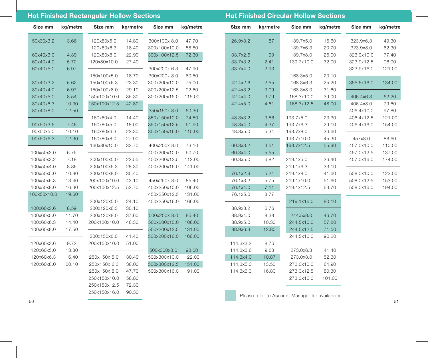### **Hot Finished Rectangular Hollow Sections Hot Finished Circular Hollow Sections**

**Size mm kg/metre** 50x30x3.2 3.66 60x40x3.0 4.39 60x40x4.0 5.72 60x40x5.0 6.97 80x40x3.2 5.62 80x40x4.0 6.97 80x40x5.0 8.54 80x40x6.3 10.30 80x40x8.0 12.50 90x50x3.6 7.46 90x50x5.0 10.10 90x50x6.3 12.30 100x50x3.0 6.75 100x50x3.2 7.18 100x50x4.0 8.86 100x50x5.0 10.90 100x50x6.3 13.40 100x50x8.0 16.30 100x50x10.0 19.60 100x60x3.6 8.59 100x60x5.0 11.70 100x60x6.3 14.40 100x60x8.0 17.50 120x60x3.6 9.72 120x60x5.0 13.30 120x60x6.3 16.40 120x60x8.0 20.10 **Size mm kg/metre** 300x100x 8.0 47.70 300x100x10.0 58.80 300x100x12.5 72.30 300x200x 6.3 47.90 300x200x 8.0 60.50 300x200x10.0 75.00 300x200x12.5 92.60 300x200x16.0 115.00 350x150x 8.0 60.30 350x150x10.0 74.50 350x150x12.5 91.90 350x150x16.0 115.00 400x200x 8.0 73.10 400x200x10.0 90.70 400x200x12.5 112.00 400x200x16.0 141.00 450x250x 8.0 85.40 450x250x10.0 106.00 450x250x12.5 131.00 450x250x16.0 166.00 500x200x 8.0 85.40 500x200x10.0 106.00 500x200x12.5 131.00 500x200x16.0 166.00 500x300x8.0 98.00 500x300x10.0 122.00 500x300x12.5 151.00 500x300x16.0 191.00 **Size mm kg/metre** 120x80x5.0 14.80 120x80x6.3 18.40 120x80x8.0 22.90 120x80x10.0 27.40 150x100x5.0 18.70 150x100x6.3 23.30 150x100x8.0 29.10 150x100x10.0 35.30 150x100x12.5 42.80 160x80x4.0 14.40 160x80x5.0 18.00 160x80x6.3 22.30 160x80x8.0 27.90 160x80x10.0 33.70 200x100x5.0 22.55 200x100x6.3 28.30 200x100x8.0 35.40 200x100x10.0 43.10 200x100x12.5 52.70 200x120x5.0 24.10 200x120x6.3 30.10 200x120x8.0 37.60 200x120x10.0 46.30 200x150x8.0 41.40 200x150x10.0 51.00 250x150x 5.0 30.40 250x150x 6.3 38.00 250x150x 8.0 47.70 250x150x10.0 58.80

> 250x150x12.5 72.30 250x150x16.0 90.30

| Size mm   | kg/metre | Size mm    | kg/metre | Size mm    | kg/metre |
|-----------|----------|------------|----------|------------|----------|
| 26.9x3.2  | 1.87     | 139.7x5.0  | 16.60    | 323.9x6.3  | 49.30    |
|           |          | 139.7x6.3  | 20.70    | 323.9x8.0  | 62.30    |
| 33.7x2.6  | 1.99     | 139.7x8.0  | 26.00    | 323.9x10.0 | 77.40    |
| 33.7x3.2  | 2.41     | 139.7x10.0 | 32.00    | 323.9x12.5 | 96.00    |
| 33.7x4.0  | 2.93     |            |          | 323.9x16.0 | 121.00   |
|           |          | 168.3x5.0  | 20.10    |            |          |
| 42.4x2.6  | 2.55     | 168.3x6.3  | 25.20    | 355.6x16.0 | 134.00   |
| 42.4x3.2  | 3.09     | 168.3x8.0  | 31.60    |            |          |
| 42.4x4.0  | 3.79     | 168.3x10.0 | 39.00    | 406.4x6.3  | 62.20    |
| 42.4x5.0  | 4.61     | 168.3x12.5 | 48.00    | 406.4x8.0  | 79.60    |
|           |          |            |          | 406.4x10.0 | 97.80    |
| 48.3x3.2  | 3.56     | 193.7x5.0  | 23.30    | 406.4x12.5 | 121.00   |
| 48.3x4.0  | 4.37     | 193.7x6.3  | 29.10    | 406.4x16.0 | 154.00   |
| 48.3x5.0  | 5.34     | 193.7x8.0  | 36.60    |            |          |
|           |          | 193.7x10.0 | 45.30    | 457x8.0    | 88.60    |
| 60.3x3.2  | 4.51     | 193.7x12.5 | 55.90    | 457.0x10.0 | 110.00   |
| 60.3x4.0  | 5.55     |            |          | 457.0x12.5 | 137.00   |
| 60.3x5.0  | 6.82     | 219.1x5.0  | 26.40    | 457.0x16.0 | 174.00   |
|           |          | 219.1x6.3  | 33.10    |            |          |
| 76.1x2.9  | 5.24     | 219.1x8.0  | 41.60    | 508.0x10.0 | 123.00   |
| 76.1x3.2  | 5.75     | 219.1x10.0 | 51.60    | 508.0x12.5 | 153.00   |
| 76.1x4.0  | 7.11     | 219.1x12.5 | 63.70    | 508.0x16.0 | 194.00   |
| 76.1x5.0  | 8.77     |            |          |            |          |
|           |          | 219.1x16.0 | 80.10    |            |          |
| 88.9x3.2  | 6.76     |            |          |            |          |
| 88.9x4.0  | 8.38     | 244.5x8.0  | 46.70    |            |          |
| 88.9x5.0  | 10.30    | 244.5x10.0 | 57.80    |            |          |
| 88.9x6.3  | 12.80    | 244.5x12.5 | 71.50    |            |          |
|           |          | 244.5x16.0 | 90.20    |            |          |
| 114.3x3.2 | 8.76     |            |          |            |          |
| 114.3x3.6 | 9.83     | 273.0x6.3  | 41.40    |            |          |
| 114.3x4.0 | 10.87    | 273.0x8.0  | 52.30    |            |          |
| 114.3x5.0 | 13.50    | 273.0x10.0 | 64.90    |            |          |
| 114.3x6.3 | 16.80    | 273.0x12.5 | 80.30    |            |          |
|           |          | 273.0x16.0 | 101.00   |            |          |

Please refer to Account Manager for availability.

 $50$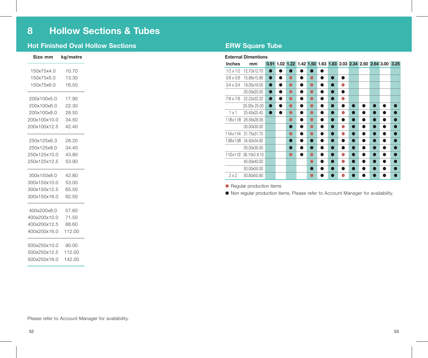### **Hot Finished Oval Hollow Sections**

| Size mm             | kg/metre |
|---------------------|----------|
| 150x75x4.0 10.70    |          |
| 150x75x5.0          | 13.30    |
| 150x75x6.0          | 16.50    |
|                     |          |
| 200x100x5.0 17.90   |          |
| 200x100x6.0 22.30   |          |
| 200x100x8.0 28.50   |          |
| 200x100x10.0 34.50  |          |
| 200x100x12.5 42.40  |          |
| 250x125x6.3 28.20   |          |
| 250x125x8.0 34.40   |          |
| 250x125x10.0 43.80  |          |
| 250x125x12.5 53.90  |          |
| 300x150x8.0 42.80   |          |
| 300x150x10.0 53.00  |          |
| 300x150x12.5 65.50  |          |
| 300x150x16.0 82.50  |          |
| 400x200x8.0 57.60   |          |
| 400x200x10.0        | 71.50    |
| 400x200x12.5 88.60  |          |
| 400x200x16.0 112.00 |          |
|                     |          |
| 500x250x10.0 90.00  |          |
| 500x250x12.5 112.00 |          |
| 500x250x16.0 142.00 |          |
|                     |          |

### **ERW Square Tube**

### **External Dimentions**

| Inches           | mm                     |           |   | 0.91 1.02 1.22 1.42 1.50 1.63 1.83 2.03 2.34 2.50 2.64 3.00 3.25 |    |   |           |                |           |                |   |           |   |           |
|------------------|------------------------|-----------|---|------------------------------------------------------------------|----|---|-----------|----------------|-----------|----------------|---|-----------|---|-----------|
| $1/2 \times 1/2$ | 12.70x12.70            | $\bullet$ |   |                                                                  |    |   | $\bullet$ |                |           |                |   |           |   |           |
| $5/8 \times 5/8$ | 15.88x15.88            | $\bullet$ | n | ●                                                                | А. |   | n         | $\bullet$      | $\bullet$ |                |   |           |   |           |
| $3/4 \times 3/4$ | 19.05x19.05            | $\bullet$ | n | O                                                                | ●  |   | ●         | $\bullet$      | ۸         |                |   |           |   |           |
|                  | 20.00x20.00            | $\bullet$ | ● | ●                                                                | А. |   | ●         | $\bullet$      | $\bullet$ |                |   |           |   |           |
| $7/8 \times 7/8$ | 22.22x22.22            | $\bullet$ |   | e                                                                |    |   | n         | $\blacksquare$ | ●         |                |   |           |   |           |
|                  | 25.00x 25.00           | $\bullet$ | n | ●                                                                | ▲  |   | ●         | $\bullet$      | a         |                | n | ●         |   |           |
| 1x1              | 25.40x25.40            | $\bullet$ | n | e                                                                | А. |   | ●         | $\bullet$      | ●         | $\blacksquare$ | n | ●         |   | n         |
| 11/8x11/8        | 28.58x28.58            |           |   | ۸                                                                | ●  |   | ä         | $\bullet$      | ●         |                | n | 0         | ● | $\bullet$ |
|                  | 30.00x30.00            |           |   | $\bullet$                                                        |    |   | ●         | $\bullet$      | O         |                | n | Ω         | ● |           |
| 11/4x11/4        | 31.75x31.75            |           |   | ۸                                                                |    |   | ●         | $\bullet$      | ●         |                | n | $\bullet$ | ● | ●         |
|                  | 13/8x13/8 34.92x34.92  |           |   | $\bullet$                                                        |    |   | ●         | $\bullet$      | ●         | $\blacksquare$ | n | $\bullet$ | ● |           |
|                  | 35.00x35.00            |           |   | ●                                                                |    |   | n         | $\bullet$      | ●         |                | A | ●         | ● |           |
|                  | 11/2x11/2 38.10x3 8.10 |           |   | 0                                                                |    |   | n         | $\bullet$      |           |                |   | ●         | ● |           |
|                  | 40.00x40.00            |           |   |                                                                  |    |   | ●         | $\bullet$      | Ο         | $\blacksquare$ | A | Ω         |   | ▲         |
|                  | 50.00x50.00            |           |   |                                                                  |    | n | ●         | $\bullet$      | ●         |                | n | ●         |   |           |
| 2x2              | 50.80x50.80            |           |   |                                                                  |    |   |           |                |           |                |   |           |   |           |

● Regular production items

● Non regular production items. Please refer to Account Manager for availability.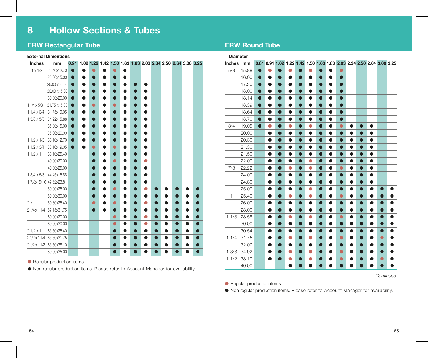### **ERW Rectangular Tube**

### **External Dimentions**

| <b>Inches</b>     | mm                      | 0.91      |           |           |           |           |           |                |           |   |           |           | 1.02 1.22 1.42 1.50 1.63 1.83 2.03 2.34 2.50 2.64 3.00 3.25 |  |
|-------------------|-------------------------|-----------|-----------|-----------|-----------|-----------|-----------|----------------|-----------|---|-----------|-----------|-------------------------------------------------------------|--|
| $1 \times 1/2$    | 25.40x12.70             |           |           |           |           |           | $\bullet$ |                |           |   |           |           |                                                             |  |
|                   | 25.00x15.00             | $\bullet$ | $\bullet$ | O         | $\bullet$ | $\bullet$ | $\bullet$ |                |           |   |           |           |                                                             |  |
|                   | 25.00 x20.00            | $\bullet$ | ●         |           |           | $\bullet$ | $\bullet$ | $\blacksquare$ | $\bullet$ |   |           |           |                                                             |  |
|                   | 30.00 x15.00            | 0         | 0         |           |           | 0         |           | $\bullet$      |           |   |           |           |                                                             |  |
|                   | 30.00x20.00             | $\bullet$ | $\bullet$ | $\bullet$ | $\bullet$ | $\bullet$ | $\bullet$ | $\bullet$      | $\bullet$ |   |           |           |                                                             |  |
| $11/4 \times 5/8$ | 31.75 x15.88            | $\bullet$ |           | ●         |           | ●         | $\bullet$ | $\bullet$      | $\bullet$ |   |           |           |                                                             |  |
| $11/4 \times 3/4$ | 31.75x19.05             | D         | $\bullet$ |           |           | $\bullet$ | $\bullet$ | $\bullet$      | $\bullet$ |   |           |           |                                                             |  |
| 1 3/8 x 5/8       | 34.92x15.88             | $\bullet$ | $\bullet$ | $\bullet$ | $\bullet$ | $\bullet$ | $\bullet$ | $\bullet$      | $\bullet$ |   |           |           |                                                             |  |
|                   | 35.00x15.00             | $\bullet$ | $\bullet$ | ●         |           | 0         |           | 0              | $\bullet$ |   |           |           |                                                             |  |
|                   | 35.00x20.00             | 0         | 0         |           |           | 0         | 0         | $\bullet$      |           |   |           |           |                                                             |  |
| $11/2 \times 1/2$ | 38.10x12.70             | $\bullet$ | $\bullet$ | $\bullet$ | $\bullet$ | $\bullet$ | $\bullet$ | $\bullet$      | $\bullet$ |   |           |           |                                                             |  |
| $11/2 \times 3/4$ | 38.10x19.05             | $\bullet$ | $\bullet$ | $\bullet$ |           | $\bullet$ | $\bullet$ | 0              | $\bullet$ |   |           |           |                                                             |  |
| $11/2 \times 1$   | 38.10x25.40             |           |           | 0         | Ð         | 0         | 0         | $\bullet$      |           |   |           |           |                                                             |  |
|                   | 40.00x20.00             |           |           | $\bullet$ | $\bullet$ | $\bullet$ | $\bullet$ | $\bullet$      | ٠         |   |           |           |                                                             |  |
|                   | 40.00x25.00             |           |           | $\bullet$ | ●         | 0         |           | 0              | $\bullet$ |   |           |           |                                                             |  |
| 1 3/4 x 5/8       | 44.45x15.88             |           |           | 0         |           | 0         | 0         | $\bullet$      |           |   |           |           |                                                             |  |
|                   | 17/8x15/16 47.62x23.81  |           |           | $\bullet$ | $\bullet$ | Ο         | $\bullet$ | $\bullet$      | $\bullet$ |   |           |           |                                                             |  |
|                   | 50.00x25.00             |           |           | $\bullet$ | $\bullet$ | $\bullet$ | $\bullet$ | $\bullet$      | 0         |   | 0         | ●         |                                                             |  |
|                   | 50.00x30.00             |           |           | 0         |           | 0         | 0         | $\bullet$      |           |   | 0         | ●         |                                                             |  |
| 2x1               | 50.80x25.40             |           |           | $\bullet$ | $\bullet$ | $\bullet$ | $\bullet$ | $\bullet$      | 0         | Ο | ●         | $\bullet$ |                                                             |  |
| 2 1/4 x 1 1/4     | 57.15x31.75             |           |           | $\bullet$ | $\bullet$ | $\bullet$ | $\bullet$ | $\bullet$      | ●         | Ο | $\bullet$ | $\bullet$ | O                                                           |  |
|                   | 60.00x20.00             |           |           |           |           | $\bullet$ | 0         | $\bullet$      | O         | n | $\bullet$ | $\bullet$ |                                                             |  |
|                   | 60.00x30.00             |           |           |           |           | $\bullet$ | $\bullet$ | $\bullet$      | $\bullet$ | ● | 0         | $\bullet$ | ●                                                           |  |
| $21/2 \times 1$   | 63.50x25.40             |           |           |           |           | $\bullet$ | $\bullet$ | $\bullet$      |           | Ο | $\bullet$ | $\bullet$ | O                                                           |  |
| 21/2 x 11/4       | 63.50x31.75             |           |           |           |           | $\bullet$ | $\bullet$ | $\bullet$      |           | ۰ | $\bullet$ | $\bullet$ | ●                                                           |  |
|                   | 21/2 x 11/2 63.50x38.10 |           |           |           |           | $\bullet$ | 0         | ●              |           |   | ●         | $\bullet$ |                                                             |  |
|                   | 80.00x35.00             |           |           |           |           | $\bullet$ | 0         | 0              |           |   | $\bullet$ | $\bullet$ |                                                             |  |

● Regular production items

● Non regular production items. Please refer to Account Manager for availability.

## **ERW Round Tube**

| <b>Diameter</b><br>0.81 0.91 1.02 1.22 1.42 1.50 1.63 1.83 2.03 2.34 2.50 2.64 3.00 3.25 |       |           |           |           |           |           |           |           |           |           |           |           |           |           |           |
|------------------------------------------------------------------------------------------|-------|-----------|-----------|-----------|-----------|-----------|-----------|-----------|-----------|-----------|-----------|-----------|-----------|-----------|-----------|
| <b>Inches</b>                                                                            | mm    |           |           |           |           |           |           |           |           |           |           |           |           |           |           |
| 5/8                                                                                      | 15.88 | $\bullet$ | 0         | $\bullet$ | Ο         |           | 0         | $\bullet$ |           | $\bullet$ |           |           |           |           |           |
|                                                                                          | 16.00 | $\bullet$ | $\bullet$ | $\bullet$ | <b>.</b>  |           | $\bullet$ | 0         | $\bullet$ | 0         |           |           |           |           |           |
|                                                                                          | 17.20 | $\bullet$ | $\bullet$ | ●         |           | O         | $\bullet$ | $\bullet$ | 0         | ●         |           |           |           |           |           |
|                                                                                          | 18.00 | $\bullet$ | $\bullet$ | $\bullet$ |           | ר         | $\bullet$ | $\bullet$ | $\bullet$ | $\bullet$ |           |           |           |           |           |
|                                                                                          | 18.14 | $\bullet$ | $\bullet$ | $\bullet$ |           | n         | $\bullet$ | $\bullet$ | 0         | $\bullet$ |           |           |           |           |           |
|                                                                                          | 18.39 | $\bullet$ | $\bullet$ | $\bullet$ | $\bullet$ | O         | $\bullet$ | $\bullet$ | $\bullet$ | $\bullet$ |           |           |           |           |           |
|                                                                                          | 18.64 | ●         | $\bullet$ | ●         |           | n         |           | $\bullet$ | $\bullet$ | 0         |           |           |           |           |           |
|                                                                                          | 18.70 | $\bullet$ | $\bullet$ | $\bullet$ |           | 0         | $\bullet$ | $\bullet$ | $\bullet$ | ●         |           |           |           |           |           |
| 3/4                                                                                      | 19.05 | $\bullet$ | $\bullet$ | $\bullet$ | $\bullet$ | ●         | $\bullet$ | $\bullet$ | $\bullet$ | $\bullet$ |           | ۰         | $\bullet$ |           |           |
|                                                                                          | 20.00 |           | $\bullet$ | $\bullet$ |           | n         | $\bullet$ | $\bullet$ | $\bullet$ | 0         |           | $\bullet$ | 0         |           |           |
|                                                                                          | 20.30 |           | $\bullet$ | $\bullet$ | $\bullet$ | O         | $\bullet$ | $\bullet$ | $\bullet$ | $\bullet$ | $\bullet$ | $\bullet$ | $\bullet$ |           |           |
|                                                                                          | 21.30 |           | $\bullet$ | 0         |           | n         | $\bullet$ | $\bullet$ | $\bullet$ |           |           | 0         | $\bullet$ |           |           |
|                                                                                          | 21.50 |           | $\bullet$ | $\bullet$ | $\bullet$ | $\bullet$ | $\bullet$ | $\bullet$ | $\bullet$ | 0         | ●         | $\bullet$ | $\bullet$ |           |           |
|                                                                                          | 22.00 |           | $\bullet$ | $\bullet$ | $\bullet$ | ●         | $\bullet$ | $\bullet$ | $\bullet$ | $\bullet$ | $\bullet$ | $\bullet$ | $\bullet$ |           |           |
| 7/8                                                                                      | 22.22 |           | $\bullet$ | $\bullet$ | 0         | O         | 0         | $\bullet$ | $\bullet$ | $\bullet$ | ●         | $\bullet$ | $\bullet$ |           |           |
|                                                                                          | 24.00 |           | $\bullet$ | ●         |           | O         | $\bullet$ | $\bullet$ |           | $\bullet$ | 0         | 0         | $\bullet$ |           |           |
|                                                                                          | 24.80 |           | $\bullet$ | $\bullet$ |           |           | $\bullet$ | $\bullet$ | $\bullet$ |           | $\bullet$ | $\bullet$ | $\bullet$ |           |           |
|                                                                                          | 25.00 |           | $\bullet$ | $\bullet$ |           | ∩         | $\bullet$ | $\bullet$ | $\bullet$ | $\bullet$ | ●         | $\bullet$ | $\bullet$ | ●         |           |
| 1                                                                                        | 25.40 |           | $\bullet$ | $\bullet$ | 0         | ●         | $\bullet$ | $\bullet$ | $\bullet$ | $\bullet$ | $\bullet$ | $\bullet$ | 0         | $\bullet$ | $\bullet$ |
|                                                                                          | 26.00 |           | $\bullet$ | $\bullet$ | $\bullet$ | n         | $\bullet$ | $\bullet$ | $\bullet$ | 0         | ●         | $\bullet$ | 0         | $\bullet$ | O         |
|                                                                                          | 28.00 |           | $\bullet$ | $\bullet$ |           | 0         | $\bullet$ | $\bullet$ | $\bullet$ | $\bullet$ | $\bullet$ | $\bullet$ |           | ●         |           |
| 11/8                                                                                     | 28.58 |           | $\bullet$ | $\bullet$ | $\bullet$ | ●         | $\bullet$ | $\bullet$ | $\bullet$ | $\bullet$ | $\bullet$ | $\bullet$ | $\bullet$ | $\bullet$ | ●         |
|                                                                                          | 30.00 |           | $\bullet$ | $\bullet$ |           | n         | $\bullet$ | $\bullet$ | $\bullet$ | $\bullet$ | $\bullet$ | $\bullet$ | 0         | $\bullet$ | ●         |
|                                                                                          | 30.54 |           | $\bullet$ | $\bullet$ | $\bullet$ | $\bullet$ | $\bullet$ | $\bullet$ | $\bullet$ | $\bullet$ | $\bullet$ | $\bullet$ | $\bullet$ | $\bullet$ | $\bullet$ |
| 11/4                                                                                     | 31.75 |           | $\bullet$ | $\bullet$ | 0         | ۰         | $\bullet$ | $\bullet$ | $\bullet$ | $\bullet$ | $\bullet$ | 0         | 0         | $\bullet$ |           |
|                                                                                          | 32.00 |           | $\bullet$ | $\bullet$ | $\bullet$ | $\bullet$ | $\bullet$ | $\bullet$ | $\bullet$ | $\bullet$ | $\bullet$ | $\bullet$ | $\bullet$ | $\bullet$ | $\bullet$ |
| 13/8                                                                                     | 34.92 |           | $\bullet$ | $\bullet$ | $\bullet$ | ●         | $\bullet$ | $\bullet$ | $\bullet$ | $\bullet$ | ●         | $\bullet$ | 0         | $\bullet$ | $\bullet$ |
| 11/2                                                                                     | 38.10 |           |           | O         | O         |           | 0         | D         | O         | $\bullet$ |           | ●         |           | $\bullet$ |           |
|                                                                                          | 40.00 |           |           |           | $\bullet$ | n         | $\bullet$ | $\bullet$ | ●         | $\bullet$ |           | $\bullet$ | $\bullet$ | $\bullet$ |           |

*Continued...*

● Regular production items

● Non regular production items. Please refer to Account Manager for availability.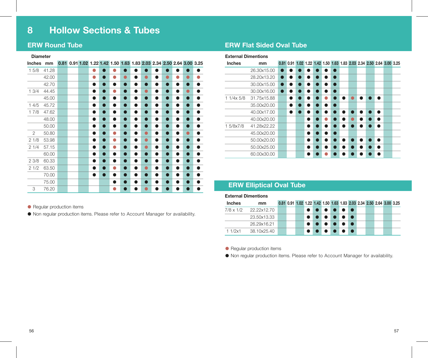### **ERW Round Tube**

### **Diameter**

| Inches         | mm    |  | 0.81 0.91 1.02 1.22 1.42 1.50 1.63 1.83 2.03 2.34 2.50 2.64 3.00 3.25 |   |     |           |           |           |   |   |           |   |                |   |
|----------------|-------|--|-----------------------------------------------------------------------|---|-----|-----------|-----------|-----------|---|---|-----------|---|----------------|---|
| 15/8           | 41.28 |  |                                                                       | О |     |           | $\bullet$ |           |   |   |           |   |                |   |
|                | 42.00 |  |                                                                       | ۸ |     |           | $\bullet$ | ●         |   |   | $\bullet$ | ٠ | ٠              |   |
|                | 42.70 |  |                                                                       | ● |     |           | $\bullet$ | a         |   |   | ●         | n | O              |   |
| 13/4           | 44.45 |  |                                                                       |   |     |           | $\bullet$ | $\bullet$ |   |   | $\bullet$ | n | 0              |   |
|                | 45.00 |  |                                                                       |   |     |           | $\bullet$ | ●         |   |   | $\bullet$ | n | $\bullet$      |   |
| 14/5           | 45.72 |  |                                                                       |   |     |           | $\bullet$ | ●         |   |   | $\bullet$ | n | $\bullet$      |   |
| 17/8           | 47.62 |  |                                                                       |   |     |           | $\bullet$ | ●         |   |   | ●         | n | $\bullet$      |   |
|                | 48.00 |  |                                                                       | ● | n   | n         | $\bullet$ | ●         | ● | ● | $\bullet$ | n | $\bullet$      |   |
|                | 50.00 |  |                                                                       | ● | - 1 | n         | $\bullet$ | ●         | ● | Α | $\bullet$ | n | $\bullet$      | Δ |
| $\overline{c}$ | 50.80 |  |                                                                       |   | −   |           | $\bullet$ | ●         | ٠ |   | $\bullet$ | n | ٠              |   |
| 21/8           | 53.98 |  |                                                                       |   | ×   |           | $\bullet$ | ●         | ● |   | $\bullet$ | n | $\blacksquare$ |   |
| 21/4           | 57.15 |  |                                                                       |   |     |           | $\bullet$ | a         |   |   | $\bullet$ | n | $\blacksquare$ |   |
|                | 60.00 |  |                                                                       |   |     |           | $\bullet$ | Α         |   |   | ●         | n | ●              |   |
| 23/8           | 60.33 |  |                                                                       |   |     |           | $\bullet$ | ●         |   |   | ●         | n | $\blacksquare$ |   |
| 21/2           | 63.50 |  |                                                                       |   |     |           | $\bullet$ | ä         |   |   | $\bullet$ | ñ |                |   |
|                | 70.00 |  |                                                                       |   |     |           | $\bullet$ | ●         |   |   | $\bullet$ | ñ |                |   |
|                | 75.00 |  |                                                                       |   |     | $\bullet$ | $\bullet$ | a         |   |   | æ         | n |                |   |
| 3              | 76.20 |  |                                                                       |   |     |           |           |           |   |   |           |   |                |   |

## **ERW Flat Sided Oval Tube**

### **External Dimentions**

| <b>Inches</b> | mm          | 0.81 0.91 1.02 1.22 1.42 1.50 1.63 1.83 2.03 2.34 2.50 2.64 3.00 3.25 |  |  |  |  |   |  |
|---------------|-------------|-----------------------------------------------------------------------|--|--|--|--|---|--|
|               | 26.30x15.00 |                                                                       |  |  |  |  |   |  |
|               | 28.20x13.20 |                                                                       |  |  |  |  |   |  |
|               | 30.00x15.00 |                                                                       |  |  |  |  |   |  |
|               | 30.00x16.00 |                                                                       |  |  |  |  |   |  |
| $11/4x$ 5/8   | 31.75x15.88 |                                                                       |  |  |  |  | ▲ |  |
|               | 35.00x20.00 |                                                                       |  |  |  |  |   |  |
|               | 40.00x17.00 |                                                                       |  |  |  |  | ● |  |
|               | 40.00x20.00 |                                                                       |  |  |  |  | e |  |
| 1 5/8x7/8     | 41.28x22.22 |                                                                       |  |  |  |  |   |  |
|               | 45.00x20.00 |                                                                       |  |  |  |  |   |  |
|               | 50.00x20.00 |                                                                       |  |  |  |  | ▲ |  |
|               | 50.00x25.00 |                                                                       |  |  |  |  |   |  |
|               | 60.00x30.00 |                                                                       |  |  |  |  |   |  |

## **ERW Elliptical Oval Tube**

**External Dimentions**

| <b>Inches</b> | mm                    | 0.81 0.91 1.02 1.22 1.42 1.50 1.63 1.83 2.03 2.34 2.50 2.64 3.00 3.25 |  |   |  |  |  |  |  |
|---------------|-----------------------|-----------------------------------------------------------------------|--|---|--|--|--|--|--|
|               | 7/8 x 1/2 22.22x12.70 |                                                                       |  |   |  |  |  |  |  |
|               | 23.50x13.33           |                                                                       |  | . |  |  |  |  |  |
|               | 26.29x16.21           |                                                                       |  |   |  |  |  |  |  |
| 11/2x1        | 38.10x25.40           |                                                                       |  | . |  |  |  |  |  |

● Regular production items

● Non regular production items. Please refer to Account Manager for availability.

● Regular production items

● Non regular production items. Please refer to Account Manager for availability.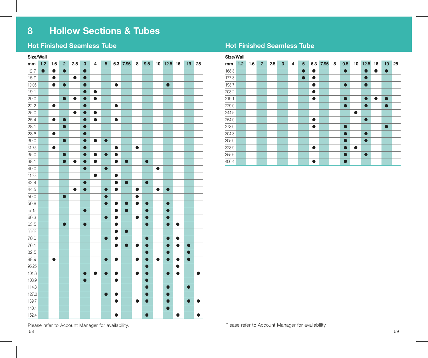### **Hot Finished Seamless Tube Hot Finished Seamless Tube**

| Size/Wall |           |                      |                |           |           |                         |                 |           |           |           |           |           |           |           |           |           |
|-----------|-----------|----------------------|----------------|-----------|-----------|-------------------------|-----------------|-----------|-----------|-----------|-----------|-----------|-----------|-----------|-----------|-----------|
| mm        | 1.2       | 1.6                  | $\overline{2}$ | 2.5       | 3         | $\overline{\mathbf{4}}$ | $5\overline{5}$ | 6.3       | 7.95      | 8         | 9.5       | 10        | 12.5      | 16        | 19        | 25        |
| 12.7      | $\bullet$ | $\overline{\bullet}$ | $\bullet$      |           | $\bullet$ |                         |                 |           |           |           |           |           |           |           |           |           |
| 15.9      |           | $\bullet$            |                | $\bullet$ | $\bullet$ |                         |                 |           |           |           |           |           |           |           |           |           |
| 19.05     |           | $\bullet$            | $\bullet$      |           | $\bullet$ |                         |                 | $\bullet$ |           |           |           |           | $\bullet$ |           |           |           |
| 19.1      |           |                      |                |           | $\bullet$ | $\bullet$               |                 |           |           |           |           |           |           |           |           |           |
| 20.0      |           |                      | $\bullet$      | $\bullet$ | $\bullet$ | $\bullet$               |                 |           |           |           |           |           |           |           |           |           |
| 22.2      |           | $\bullet$            |                |           | $\bullet$ |                         |                 | $\bullet$ |           |           |           |           |           |           |           |           |
| 25.0      |           |                      |                | $\bullet$ | $\bullet$ | $\bullet$               |                 |           |           |           |           |           |           |           |           |           |
| 25.4      |           | $\bullet$            | $\bullet$      |           | $\bullet$ | $\bullet$               |                 | $\bullet$ |           |           |           |           |           |           |           |           |
| 28.1      |           |                      | $\bullet$      |           | $\bullet$ |                         |                 |           |           |           |           |           |           |           |           |           |
| 28.6      |           | $\bullet$            |                |           | $\bullet$ |                         |                 |           |           |           |           |           |           |           |           |           |
| 30.0      |           |                      | $\bullet$      |           | $\bullet$ | $\bullet$               | $\bullet$       |           |           |           |           |           |           |           |           |           |
| 31.75     |           | $\bullet$            |                |           | $\bullet$ |                         |                 | $\bullet$ |           | $\bullet$ |           |           |           |           |           |           |
| 35.0      |           |                      | $\bullet$      |           | $\bullet$ | $\bullet$               | $\bullet$       | $\bullet$ |           |           |           |           |           |           |           |           |
| 38.1      |           |                      | $\bullet$      | $\bullet$ | $\bullet$ | $\bullet$               |                 | $\bullet$ | $\bullet$ |           | $\bullet$ |           |           |           |           |           |
| 40.0      |           |                      |                |           | $\bullet$ |                         | $\bullet$       |           |           |           |           | $\bullet$ |           |           |           |           |
| 41.28     |           |                      |                |           |           | $\bullet$               |                 | $\bullet$ |           |           |           |           |           |           |           |           |
| 42.4      |           |                      |                |           | $\bullet$ |                         |                 | $\bullet$ | $\bullet$ |           | $\bullet$ |           |           |           |           |           |
| 44.5      |           |                      |                | $\bullet$ | $\bullet$ |                         | $\bullet$       | $\bullet$ |           | $\bullet$ |           | $\bullet$ | $\bullet$ |           |           |           |
| 50.0      |           |                      | $\bullet$      |           |           |                         | $\bullet$       |           |           | 0         |           |           |           |           |           |           |
| 50.8      |           |                      |                |           |           |                         | $\bullet$       | $\bullet$ | $\bullet$ | $\bullet$ | $\bullet$ |           | $\bullet$ |           |           |           |
| 57.15     |           |                      |                |           | $\bullet$ |                         |                 | $\bullet$ | $\bullet$ |           | $\bullet$ |           | $\bullet$ |           |           |           |
| 60.3      |           |                      |                |           |           |                         | $\bullet$       | $\bullet$ |           | $\bullet$ | $\bullet$ |           | $\bullet$ |           |           |           |
| 63.5      |           |                      | $\bullet$      |           | $\bullet$ |                         |                 | $\bullet$ |           |           | $\bullet$ |           | $\bullet$ | $\bullet$ |           |           |
| 66.68     |           |                      |                |           |           |                         |                 | $\bullet$ | $\bullet$ |           |           |           |           |           |           |           |
| 70.0      |           |                      |                |           |           |                         | $\bullet$       | $\bullet$ |           |           | $\bullet$ |           | $\bullet$ | $\bullet$ |           |           |
| 76.1      |           |                      |                |           |           |                         |                 | $\bullet$ | $\bullet$ | $\bullet$ | $\bullet$ |           | $\bullet$ | $\bullet$ | $\bullet$ |           |
| 82.5      |           |                      |                |           |           |                         |                 |           |           |           | $\bullet$ |           | $\bullet$ |           | $\bullet$ |           |
| 88.9      |           | $\bullet$            |                |           |           |                         | $\bullet$       | $\bullet$ |           | $\bullet$ | $\bullet$ | $\bullet$ | $\bullet$ | $\bullet$ | $\bullet$ |           |
| 95.25     |           |                      |                |           |           |                         |                 |           |           |           | $\bullet$ |           |           | $\bullet$ |           |           |
| 101.6     |           |                      |                |           | $\bullet$ | $\bullet$               | $\bullet$       | $\bullet$ |           | $\bullet$ | $\bullet$ |           | $\bullet$ | $\bullet$ |           | $\bullet$ |
| 108.9     |           |                      |                |           | $\bullet$ |                         |                 | $\bullet$ |           |           | $\bullet$ |           |           |           |           |           |
| 114.3     |           |                      |                |           |           |                         |                 |           |           |           | $\bullet$ |           | $\bullet$ |           | $\bullet$ |           |
| 127.0     |           |                      |                |           |           |                         | $\bullet$       | $\bullet$ |           |           | $\bullet$ |           | $\bullet$ |           |           |           |
| 139.7     |           |                      |                |           |           |                         |                 | $\bullet$ |           | $\bullet$ | $\bullet$ |           | $\bullet$ |           | $\bullet$ |           |
| 140.1     |           |                      |                |           |           |                         |                 |           |           |           |           |           | ●         |           |           |           |
| 152.4     |           |                      |                |           |           |                         |                 | $\bullet$ |           |           | $\bullet$ |           |           | $\bullet$ |           | D         |

| Size/Wall |     |     |                |     |              |                         |           |           |          |   |           |           |           |           |           |    |
|-----------|-----|-----|----------------|-----|--------------|-------------------------|-----------|-----------|----------|---|-----------|-----------|-----------|-----------|-----------|----|
| mm        | 1.2 | 1.6 | 2 <sup>1</sup> | 2.5 | $\mathbf{3}$ | $\overline{\mathbf{4}}$ | 5         |           | 6.3 7.95 | 8 | 9.5       | 10        | 12.5      | 16        | 19        | 25 |
| 168.3     |     |     |                |     |              |                         | $\bullet$ | $\bullet$ |          |   | $\bullet$ |           | $\bullet$ |           | $\bullet$ |    |
| 177.8     |     |     |                |     |              |                         | $\bullet$ | $\bullet$ |          |   |           |           | $\bullet$ |           |           |    |
| 193.7     |     |     |                |     |              |                         |           | $\bullet$ |          |   | $\bullet$ |           | $\bullet$ |           |           |    |
| 203.2     |     |     |                |     |              |                         |           | $\bullet$ |          |   |           |           |           |           |           |    |
| 219.1     |     |     |                |     |              |                         |           | $\bullet$ |          |   | $\bullet$ |           | $\bullet$ | $\bullet$ | $\bullet$ |    |
| 229.0     |     |     |                |     |              |                         |           |           |          |   | $\bullet$ |           | $\bullet$ |           | $\bullet$ |    |
| 244.5     |     |     |                |     |              |                         |           |           |          |   |           | $\bullet$ |           |           |           |    |
| 254.0     |     |     |                |     |              |                         |           | $\bullet$ |          |   |           |           | $\bullet$ |           |           |    |
| 273.0     |     |     |                |     |              |                         |           | $\bullet$ |          |   | $\bullet$ |           |           |           | $\bullet$ |    |
| 304.8     |     |     |                |     |              |                         |           |           |          |   | $\bullet$ |           | $\bullet$ |           |           |    |
| 305.0     |     |     |                |     |              |                         |           |           |          |   | $\bullet$ |           | $\bullet$ |           |           |    |
| 323.9     |     |     |                |     |              |                         |           | $\bullet$ |          |   | $\bullet$ | $\bullet$ |           |           |           |    |
| 355.6     |     |     |                |     |              |                         |           |           |          |   | $\bullet$ |           | $\bullet$ |           |           |    |
| 406.4     |     |     |                |     |              |                         |           | $\bullet$ |          |   | $\bullet$ |           |           |           |           |    |

Please refer to Account Manager for availability. The account Manager for availability.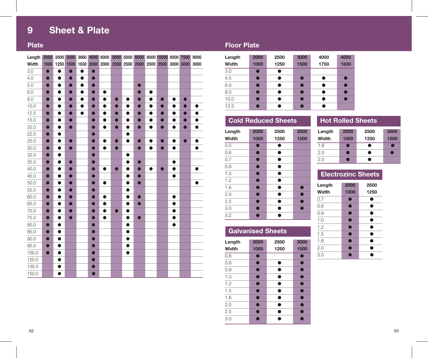## **9 Sheet & Plate**

| Length |           |           |           |           |           |           |           |           |           |           | 2000 2500 3000 3660 4000 6000 8000 5000 6000 8000 10000 6000 7500 9000 |           |           |           |
|--------|-----------|-----------|-----------|-----------|-----------|-----------|-----------|-----------|-----------|-----------|------------------------------------------------------------------------|-----------|-----------|-----------|
| Width  | 1000      | 1250      | 1500      | 1830      |           | 2000 2000 |           | 2000 2500 | 2500      | 2500      | 2500                                                                   | 3000      | 3000      | 3000      |
| 3.0    | $\bullet$ | $\bullet$ | $\bullet$ | $\bullet$ | $\bullet$ |           |           |           |           |           |                                                                        |           |           |           |
| 4.0    | $\bullet$ | $\bullet$ | $\bullet$ | $\bullet$ | $\bullet$ |           |           |           |           |           |                                                                        |           |           |           |
| 5.0    | $\bullet$ | $\bullet$ | $\bullet$ | $\bullet$ | $\bullet$ |           |           |           | $\bullet$ |           |                                                                        |           |           |           |
| 6.0    | $\bullet$ | $\bullet$ | $\bullet$ | $\bullet$ | $\bullet$ | $\bullet$ |           |           | $\bullet$ | $\bullet$ |                                                                        |           |           |           |
| 8.0    | $\bullet$ | $\bullet$ | $\bullet$ | $\bullet$ | $\bullet$ | $\bullet$ | $\bullet$ | $\bullet$ | $\bullet$ | $\bullet$ | O                                                                      | $\bullet$ | Ο         |           |
| 10.0   | $\bullet$ | $\bullet$ | $\bullet$ | $\bullet$ | $\bigcap$ | $\bullet$ | $\bullet$ | $\bullet$ | $\bullet$ | $\bullet$ | $\bullet$                                                              | $\bullet$ | $\bullet$ | $\bullet$ |
| 12.5   | $\bullet$ | $\bullet$ | $\bullet$ | $\bullet$ | $\bullet$ | $\bullet$ | $\bullet$ | $\bullet$ | $\bullet$ | $\bullet$ | $\bullet$                                                              | $\bullet$ | $\bullet$ |           |
| 15.0   | $\bullet$ | $\bullet$ | $\bullet$ |           | $\bullet$ | $\bullet$ | $\bullet$ | $\bullet$ | $\bullet$ | $\bullet$ | $\bullet$                                                              | $\bullet$ | $\bullet$ | ●         |
| 20.0   | $\bullet$ | $\bullet$ | $\bullet$ |           | $\bullet$ | $\bullet$ | $\bullet$ | $\bullet$ | $\bullet$ | $\bullet$ | $\bullet$                                                              | $\bullet$ | $\bullet$ | $\bullet$ |
| 22.0   |           | $\bullet$ |           |           |           |           |           | $\bullet$ |           |           |                                                                        |           |           |           |
| 25.0   | $\bullet$ | $\bullet$ | $\bullet$ |           | $\bullet$ | $\bullet$ | $\bullet$ | $\bullet$ | $\bullet$ | $\bullet$ | $\bullet$                                                              | $\bullet$ | $\bullet$ | $\bullet$ |
| 30.0   | $\bullet$ | $\bullet$ | $\bullet$ |           | $\bullet$ | $\bullet$ | $\bullet$ |           | $\bullet$ | $\bullet$ | $\bullet$                                                              | $\bullet$ |           | $\bullet$ |
| 32.0   | 0         | $\bullet$ |           |           | $\bullet$ |           |           | $\bullet$ |           |           |                                                                        |           |           |           |
| 35.0   | $\bullet$ | $\bullet$ | $\bullet$ |           | $\bullet$ |           |           | $\bullet$ | $\bullet$ |           |                                                                        | $\bullet$ |           |           |
| 40.0   | $\bullet$ | $\bullet$ | $\bullet$ |           | $\bullet$ | $\bullet$ | $\bullet$ | $\bullet$ | $\bullet$ | $\bullet$ | $\bullet$                                                              | $\bullet$ |           | ė         |
| 45.0   | $\bullet$ | $\bullet$ | 0         |           | 0         |           |           | $\bullet$ | Ο         |           |                                                                        | $\bullet$ |           |           |
| 50.0   | $\bullet$ | $\bullet$ | $\bullet$ |           | ●         | $\bullet$ |           | $\bullet$ | $\bullet$ |           |                                                                        |           |           | 0         |
| 55.0   | $\bullet$ | $\bullet$ | $\bullet$ |           | $\bullet$ |           |           | $\bullet$ |           |           |                                                                        |           |           |           |
| 60.0   | $\bullet$ | $\bullet$ | $\bullet$ |           | ●         | $\bullet$ |           | $\bullet$ | $\bullet$ |           |                                                                        | $\bullet$ |           |           |
| 65.0   | $\bullet$ | $\bullet$ | $\bullet$ |           | $\bullet$ | $\bullet$ |           | $\bullet$ | $\bullet$ |           |                                                                        | $\bullet$ |           |           |
| 70.0   | $\bullet$ | $\bullet$ | $\bullet$ |           | $\bullet$ | $\bullet$ | $\bullet$ | $\bullet$ |           |           |                                                                        | $\bullet$ |           |           |
| 75.0   | $\bullet$ | $\bullet$ | $\bullet$ |           | $\bullet$ | $\bullet$ |           | $\bullet$ | $\bullet$ |           |                                                                        | $\bullet$ |           |           |
| 80.0   | $\bullet$ | $\bullet$ |           |           | $\bullet$ |           |           | $\bullet$ |           |           |                                                                        | $\bullet$ |           |           |
| 85.0   | $\bullet$ | $\bullet$ |           |           | $\bullet$ |           |           | $\bullet$ |           |           |                                                                        |           |           |           |
| 90.0   | $\bullet$ | $\bullet$ |           |           | $\bullet$ |           |           | $\bullet$ |           |           |                                                                        |           |           |           |
| 95.0   | $\bullet$ | $\bullet$ |           |           | $\bullet$ |           |           | $\bullet$ |           |           |                                                                        |           |           |           |
| 100.0  | $\bullet$ | $\bullet$ |           |           | ●         |           |           | $\bullet$ |           |           |                                                                        |           |           |           |
| 120.0  |           | $\bullet$ |           |           | $\bullet$ |           |           |           |           |           |                                                                        |           |           |           |
| 130.0  |           | $\bullet$ |           |           | $\bullet$ |           |           |           |           |           |                                                                        |           |           |           |
| 150.0  |           | ●         |           |           |           |           |           |           |           |           |                                                                        |           |           |           |

## **Plate Floor Plate**

| Length           | 2000      | 2500 | 3000 | 4000      | 4000 |
|------------------|-----------|------|------|-----------|------|
| Width            | 1000      | 1250 | 1500 | 1750      | 1830 |
| 3.0              | С         |      |      |           |      |
| $\overline{4.5}$ | О         | ●    | œ    | ×         |      |
| 6.0              | О         | a    |      | e         |      |
| 8.0              | O         | ●    |      | æ         |      |
| 10.0             | $\bullet$ | ●    | œ    | $\bullet$ |      |
| 12.5             | r         |      |      |           |      |

## **Cold Reduced Sheets**

| Length | 2000      | 2500 | 3000 |
|--------|-----------|------|------|
| Width  | 1000      | 1250 | 1500 |
| 0.5    |           |      |      |
| 0.6    | n         | n    |      |
| 0.7    | $\bullet$ | ●    |      |
| 0.8    | ÷         | n    |      |
| 1.0    | ×         | ٠    |      |
| 1.2    | c         | ●    |      |
| 1.6    | Ο         | ●    | - 1  |
| 2.0    | r         | n    |      |
| 2.5    |           | n    |      |
| 3.0    |           | e    |      |
| 3.2    |           |      |      |

## **Galvanised Sheets**

| Length | 2000 | 2500 | 3000 |
|--------|------|------|------|
| Width  | 1000 | 1250 | 1500 |
| 0.6    | r.   |      |      |
| 0.8    | m    | n    | т    |
| 0.9    | O    | a    | т    |
| 1.0    | O    | e    | ×    |
| 1.2    | O    | a    |      |
| 1.5    | n    | e    |      |
| 1.6    | n    | n    |      |
| 2.0    | Π.   | n    |      |
| 2.5    | ×    |      |      |
| 3.0    |      |      |      |

## **Hot Rolled Sheets**

| Length<br>Width | 2000<br>1000 | 2500<br>1250 | 3000<br>1500 |
|-----------------|--------------|--------------|--------------|
| 1.6             | ÷            | m            | r.           |
| 2.0             | æ            | m            |              |
| 2.5             |              |              |              |

## **Electrozinc Sheets**

| Length | 2000 | 2500 |
|--------|------|------|
| Width  | 1000 | 1250 |
| 0.7    | ×    | ٠    |
| 0.8    | r.   | ٠    |
| 0.9    | r.   | ٠    |
| 1.0    | o    | ٠    |
| 1.2    | г    | e    |
| 1.5    | m    | ٠    |
| 1.6    | т    | ٠    |
| 2.0    | ×    | ٠    |
| 3.0    | r.   |      |